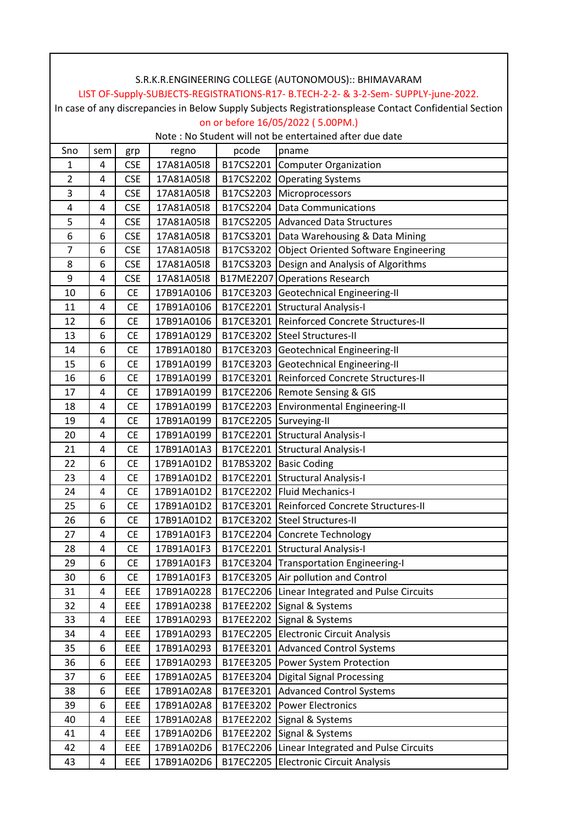|                |     |            |            |                        | LIST OF-Supply-SUBJECTS-REGISTRATIONS-R17- B.TECH-2-2- & 3-2-Sem- SUPPLY-june-2022.                    |
|----------------|-----|------------|------------|------------------------|--------------------------------------------------------------------------------------------------------|
|                |     |            |            |                        | In case of any discrepancies in Below Supply Subjects Registrationsplease Contact Confidential Section |
|                |     |            |            |                        | on or before 16/05/2022 (5.00PM.)                                                                      |
|                |     |            |            |                        | Note: No Student will not be entertained after due date                                                |
| Sno            | sem | grp        | regno      | pcode                  | pname                                                                                                  |
| 1              | 4   | <b>CSE</b> | 17A81A05I8 |                        | B17CS2201 Computer Organization                                                                        |
| $\overline{2}$ | 4   | <b>CSE</b> | 17A81A05I8 |                        | B17CS2202 Operating Systems                                                                            |
| 3              | 4   | <b>CSE</b> | 17A81A05I8 |                        | B17CS2203 Microprocessors                                                                              |
| 4              | 4   | <b>CSE</b> | 17A81A05I8 |                        | B17CS2204 Data Communications                                                                          |
| 5              | 4   | <b>CSE</b> | 17A81A05I8 |                        | B17CS2205 Advanced Data Structures                                                                     |
| 6              | 6   | <b>CSE</b> | 17A81A05I8 |                        | B17CS3201   Data Warehousing & Data Mining                                                             |
| $\overline{7}$ | 6   | <b>CSE</b> | 17A81A05I8 |                        | B17CS3202 Object Oriented Software Engineering                                                         |
| 8              | 6   | <b>CSE</b> | 17A81A05I8 |                        | B17CS3203 Design and Analysis of Algorithms                                                            |
| 9              | 4   | <b>CSE</b> | 17A81A05I8 |                        | B17ME2207 Operations Research                                                                          |
| 10             | 6   | <b>CE</b>  | 17B91A0106 |                        | B17CE3203 Geotechnical Engineering-II                                                                  |
| 11             | 4   | <b>CE</b>  | 17B91A0106 |                        | B17CE2201 Structural Analysis-I                                                                        |
| 12             | 6   | <b>CE</b>  | 17B91A0106 |                        | B17CE3201 Reinforced Concrete Structures-II                                                            |
| 13             | 6   | <b>CE</b>  | 17B91A0129 |                        | B17CE3202 Steel Structures-II                                                                          |
| 14             | 6   | <b>CE</b>  | 17B91A0180 |                        | B17CE3203 Geotechnical Engineering-II                                                                  |
| 15             | 6   | <b>CE</b>  | 17B91A0199 |                        | B17CE3203 Geotechnical Engineering-II                                                                  |
| 16             | 6   | <b>CE</b>  | 17B91A0199 |                        | B17CE3201 Reinforced Concrete Structures-II                                                            |
| 17             | 4   | <b>CE</b>  | 17B91A0199 |                        | B17CE2206 Remote Sensing & GIS                                                                         |
| 18             | 4   | <b>CE</b>  | 17B91A0199 |                        | B17CE2203 Environmental Engineering-II                                                                 |
| 19             | 4   | <b>CE</b>  | 17B91A0199 | B17CE2205 Surveying-II |                                                                                                        |
| 20             | 4   | <b>CE</b>  | 17B91A0199 |                        | B17CE2201 Structural Analysis-I                                                                        |
| 21             | 4   | <b>CE</b>  | 17B91A01A3 |                        | B17CE2201 Structural Analysis-I                                                                        |
| 22             | 6   | <b>CE</b>  | 17B91A01D2 |                        | B17BS3202 Basic Coding                                                                                 |
| 23             | 4   | <b>CE</b>  | 17B91A01D2 |                        | B17CE2201 Structural Analysis-I                                                                        |
| 24             | 4   | <b>CE</b>  | 17B91A01D2 |                        | B17CE2202 Fluid Mechanics-I                                                                            |
| 25             | 6   | CE         |            |                        | 17B91A01D2   B17CE3201 Reinforced Concrete Structures-II                                               |
| 26             | 6   | <b>CE</b>  | 17B91A01D2 |                        | B17CE3202 Steel Structures-II                                                                          |
| 27             | 4   | <b>CE</b>  | 17B91A01F3 |                        | B17CE2204 Concrete Technology                                                                          |
| 28             | 4   | <b>CE</b>  | 17B91A01F3 |                        | B17CE2201 Structural Analysis-I                                                                        |
| 29             | 6   | <b>CE</b>  | 17B91A01F3 |                        | B17CE3204 Transportation Engineering-I                                                                 |
| 30             | 6   | <b>CE</b>  | 17B91A01F3 |                        | B17CE3205 Air pollution and Control                                                                    |
| 31             | 4   | EEE        | 17B91A0228 |                        | B17EC2206 Linear Integrated and Pulse Circuits                                                         |
| 32             | 4   | EEE        | 17B91A0238 |                        | B17EE2202 Signal & Systems                                                                             |
| 33             | 4   | EEE        | 17B91A0293 |                        | B17EE2202 Signal & Systems                                                                             |
| 34             | 4   | EEE        | 17B91A0293 |                        | B17EC2205 Electronic Circuit Analysis                                                                  |
| 35             | 6   | EEE        | 17B91A0293 |                        | B17EE3201 Advanced Control Systems                                                                     |
| 36             | 6   | EEE        | 17B91A0293 |                        | B17EE3205 Power System Protection                                                                      |
| 37             | 6   | EEE        | 17B91A02A5 |                        | B17EE3204 Digital Signal Processing                                                                    |
| 38             | 6   | EEE        | 17B91A02A8 |                        | B17EE3201 Advanced Control Systems                                                                     |
| 39             | 6   | EEE        | 17B91A02A8 |                        | B17EE3202 Power Electronics                                                                            |
| 40             | 4   | EEE        | 17B91A02A8 |                        | B17EE2202 Signal & Systems                                                                             |
| 41             | 4   | EEE        | 17B91A02D6 |                        | B17EE2202 Signal & Systems                                                                             |
| 42             | 4   | EEE        | 17B91A02D6 |                        | B17EC2206 Linear Integrated and Pulse Circuits                                                         |
| 43             | 4   | EEE        | 17B91A02D6 | B17EC2205              | Electronic Circuit Analysis                                                                            |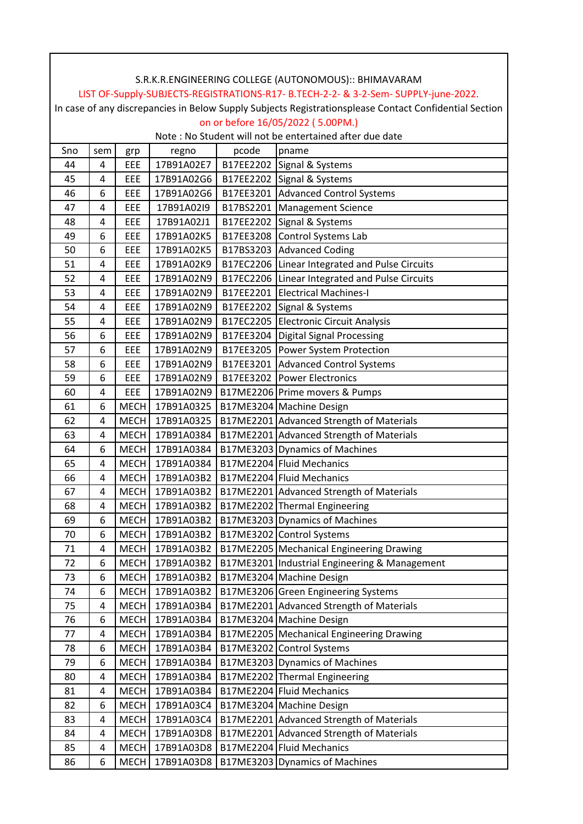|     |     |             |                 |           | S.R.K.R.ENGINEERING COLLEGE (AUTONOMOUS):: BHIMAVARAM                                                  |
|-----|-----|-------------|-----------------|-----------|--------------------------------------------------------------------------------------------------------|
|     |     |             |                 |           | LIST OF-Supply-SUBJECTS-REGISTRATIONS-R17- B.TECH-2-2- & 3-2-Sem- SUPPLY-june-2022.                    |
|     |     |             |                 |           | In case of any discrepancies in Below Supply Subjects Registrationsplease Contact Confidential Section |
|     |     |             |                 |           | on or before 16/05/2022 (5.00PM.)                                                                      |
|     |     |             |                 |           | Note: No Student will not be entertained after due date                                                |
| Sno | sem | grp         | regno           | pcode     | pname                                                                                                  |
| 44  | 4   | EEE         | 17B91A02E7      |           | B17EE2202 Signal & Systems                                                                             |
| 45  | 4   | EEE         | 17B91A02G6      |           | B17EE2202 Signal & Systems                                                                             |
| 46  | 6   | EEE         | 17B91A02G6      |           | B17EE3201 Advanced Control Systems                                                                     |
| 47  | 4   | EEE         | 17B91A02I9      |           | B17BS2201   Management Science                                                                         |
| 48  | 4   | EEE         | 17B91A02J1      |           | B17EE2202 Signal & Systems                                                                             |
| 49  | 6   | EEE         | 17B91A02K5      | B17EE3208 | Control Systems Lab                                                                                    |
| 50  | 6   | EEE         | 17B91A02K5      |           | B17BS3203 Advanced Coding                                                                              |
| 51  | 4   | EEE         | 17B91A02K9      |           | B17EC2206 Linear Integrated and Pulse Circuits                                                         |
| 52  | 4   | EEE         | 17B91A02N9      |           | B17EC2206 Linear Integrated and Pulse Circuits                                                         |
| 53  | 4   | EEE         | 17B91A02N9      |           | B17EE2201 Electrical Machines-I                                                                        |
| 54  | 4   | EEE         | 17B91A02N9      |           | B17EE2202 Signal & Systems                                                                             |
| 55  | 4   | EEE         | 17B91A02N9      |           | B17EC2205 Electronic Circuit Analysis                                                                  |
| 56  | 6   | EEE         | 17B91A02N9      | B17EE3204 | <b>Digital Signal Processing</b>                                                                       |
| 57  | 6   | EEE         | 17B91A02N9      |           | B17EE3205   Power System Protection                                                                    |
| 58  | 6   | EEE         | 17B91A02N9      |           | B17EE3201 Advanced Control Systems                                                                     |
| 59  | 6   | EEE         | 17B91A02N9      |           | B17EE3202 Power Electronics                                                                            |
| 60  | 4   | EEE         | 17B91A02N9      |           | B17ME2206 Prime movers & Pumps                                                                         |
| 61  | 6   | <b>MECH</b> | 17B91A0325      |           | B17ME3204 Machine Design                                                                               |
| 62  | 4   | <b>MECH</b> | 17B91A0325      |           | B17ME2201 Advanced Strength of Materials                                                               |
| 63  | 4   | <b>MECH</b> | 17B91A0384      |           | B17ME2201 Advanced Strength of Materials                                                               |
| 64  | 6   | <b>MECH</b> | 17B91A0384      |           | B17ME3203 Dynamics of Machines                                                                         |
| 65  | 4   |             | MECH 17B91A0384 |           | B17ME2204 Fluid Mechanics                                                                              |
| 66  | 4   | <b>MECH</b> | 17B91A03B2      |           | B17ME2204 Fluid Mechanics                                                                              |
| 67  | 4   |             | MECH 17B91A03B2 |           | B17ME2201 Advanced Strength of Materials                                                               |
| 68  | 4   | <b>MECH</b> | 17B91A03B2      |           | B17ME2202 Thermal Engineering                                                                          |
| 69  | 6   | <b>MECH</b> | 17B91A03B2      |           | B17ME3203 Dynamics of Machines                                                                         |
| 70  | 6   | <b>MECH</b> | 17B91A03B2      |           | B17ME3202 Control Systems                                                                              |
| 71  | 4   | <b>MECH</b> | 17B91A03B2      |           | B17ME2205 Mechanical Engineering Drawing                                                               |
| 72  | 6   | <b>MECH</b> | 17B91A03B2      |           | B17ME3201 Industrial Engineering & Management                                                          |
| 73  | 6   | <b>MECH</b> | 17B91A03B2      |           | B17ME3204 Machine Design                                                                               |
| 74  | 6   | <b>MECH</b> | 17B91A03B2      |           | B17ME3206 Green Engineering Systems                                                                    |
| 75  | 4   | <b>MECH</b> | 17B91A03B4      |           | B17ME2201 Advanced Strength of Materials                                                               |
| 76  | 6   | <b>MECH</b> | 17B91A03B4      |           | B17ME3204 Machine Design                                                                               |
| 77  | 4   | <b>MECH</b> | 17B91A03B4      |           | B17ME2205   Mechanical Engineering Drawing                                                             |
| 78  | 6   | <b>MECH</b> | 17B91A03B4      |           | B17ME3202 Control Systems                                                                              |
| 79  | 6   | <b>MECH</b> | 17B91A03B4      |           | B17ME3203 Dynamics of Machines                                                                         |
| 80  | 4   | <b>MECH</b> | 17B91A03B4      |           | B17ME2202 Thermal Engineering                                                                          |
| 81  | 4   | <b>MECH</b> | 17B91A03B4      |           | B17ME2204 Fluid Mechanics                                                                              |
| 82  | 6   | <b>MECH</b> | 17B91A03C4      |           | B17ME3204 Machine Design                                                                               |
| 83  | 4   | <b>MECH</b> | 17B91A03C4      |           | B17ME2201 Advanced Strength of Materials                                                               |
| 84  | 4   | <b>MECH</b> | 17B91A03D8      |           | B17ME2201 Advanced Strength of Materials                                                               |
| 85  | 4   | <b>MECH</b> | 17B91A03D8      |           | B17ME2204 Fluid Mechanics                                                                              |
| 86  | 6   | <b>MECH</b> | 17B91A03D8      |           | B17ME3203 Dynamics of Machines                                                                         |

⅂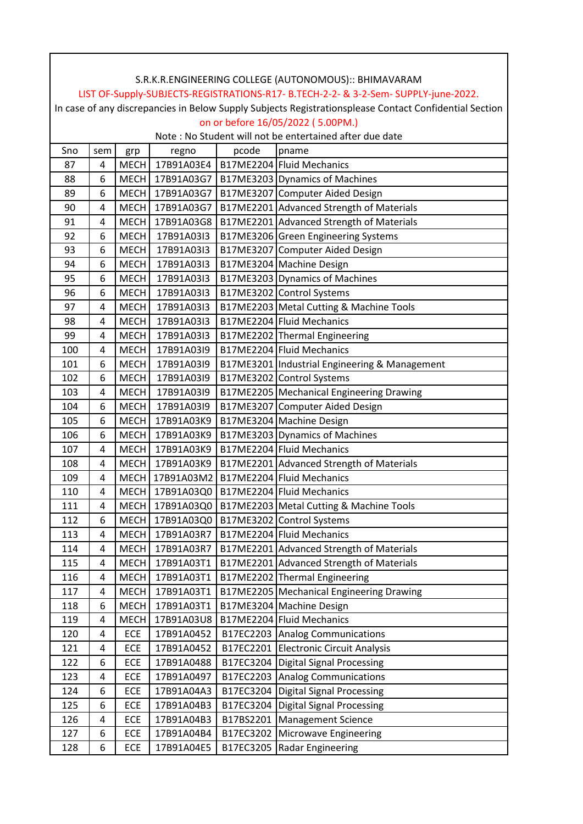|     |     |                   |                 |           | S.R.K.R.ENGINEERING COLLEGE (AUTONOMOUS):: BHIMAVARAM                                                  |
|-----|-----|-------------------|-----------------|-----------|--------------------------------------------------------------------------------------------------------|
|     |     |                   |                 |           | LIST OF-Supply-SUBJECTS-REGISTRATIONS-R17- B.TECH-2-2- & 3-2-Sem- SUPPLY-june-2022.                    |
|     |     |                   |                 |           | In case of any discrepancies in Below Supply Subjects Registrationsplease Contact Confidential Section |
|     |     |                   |                 |           | on or before 16/05/2022 (5.00PM.)                                                                      |
|     |     |                   |                 |           | Note: No Student will not be entertained after due date                                                |
| Sno | sem | grp               | regno           | pcode     | pname                                                                                                  |
| 87  | 4   | <b>MECH</b>       | 17B91A03E4      |           | B17ME2204 Fluid Mechanics                                                                              |
| 88  | 6   |                   | MECH 17B91A03G7 |           | B17ME3203 Dynamics of Machines                                                                         |
| 89  | 6   |                   | MECH 17B91A03G7 |           | B17ME3207 Computer Aided Design                                                                        |
| 90  | 4   | <b>MECH</b>       | 17B91A03G7      |           | B17ME2201 Advanced Strength of Materials                                                               |
| 91  | 4   | <b>MECH</b>       | 17B91A03G8      |           | B17ME2201 Advanced Strength of Materials                                                               |
| 92  | 6   | <b>MECH</b>       | 17B91A03I3      |           | B17ME3206 Green Engineering Systems                                                                    |
| 93  | 6   | <b>MECH</b>       | 17B91A03I3      |           | B17ME3207 Computer Aided Design                                                                        |
| 94  | 6   | MECH              | 17B91A03I3      |           | B17ME3204 Machine Design                                                                               |
| 95  | 6   | MECH <sup> </sup> | 17B91A03I3      |           | B17ME3203 Dynamics of Machines                                                                         |
| 96  | 6   | <b>MECH</b>       | 17B91A03I3      |           | B17ME3202 Control Systems                                                                              |
| 97  | 4   | <b>MECH</b>       | 17B91A03I3      |           | B17ME2203 Metal Cutting & Machine Tools                                                                |
| 98  | 4   | <b>MECH</b>       | 17B91A03I3      |           | B17ME2204 Fluid Mechanics                                                                              |
| 99  | 4   | <b>MECH</b>       | 17B91A03I3      |           | B17ME2202 Thermal Engineering                                                                          |
| 100 | 4   | <b>MECH</b>       | 17B91A03I9      |           | B17ME2204 Fluid Mechanics                                                                              |
| 101 | 6   | <b>MECH</b>       | 17B91A03I9      |           | B17ME3201   Industrial Engineering & Management                                                        |
| 102 | 6   | <b>MECH</b>       | 17B91A03I9      |           | B17ME3202 Control Systems                                                                              |
| 103 | 4   | <b>MECH</b>       | 17B91A03I9      |           | B17ME2205 Mechanical Engineering Drawing                                                               |
| 104 | 6   | <b>MECH</b>       | 17B91A03I9      |           | B17ME3207 Computer Aided Design                                                                        |
| 105 | 6   |                   | MECH 17B91A03K9 |           | B17ME3204 Machine Design                                                                               |
| 106 | 6   | <b>MECH</b>       | 17B91A03K9      |           | B17ME3203 Dynamics of Machines                                                                         |
| 107 | 4   |                   | MECH 17B91A03K9 |           | B17ME2204 Fluid Mechanics                                                                              |
| 108 | 4   |                   | MECH 17B91A03K9 |           | B17ME2201 Advanced Strength of Materials                                                               |
| 109 | 4   |                   | MECH 17B91A03M2 |           | B17ME2204 Fluid Mechanics                                                                              |
| 110 | 4   |                   |                 |           | MECH 17B91A03Q0   B17ME2204 Fluid Mechanics                                                            |
| 111 | 4   | <b>MECH</b>       | 17B91A03Q0      |           | B17ME2203   Metal Cutting & Machine Tools                                                              |
| 112 | 6   | <b>MECH</b>       | 17B91A03Q0      |           | B17ME3202 Control Systems                                                                              |
| 113 | 4   | <b>MECH</b>       | 17B91A03R7      |           | B17ME2204 Fluid Mechanics                                                                              |
| 114 | 4   | <b>MECH</b>       | 17B91A03R7      |           | B17ME2201 Advanced Strength of Materials                                                               |
| 115 | 4   | <b>MECH</b>       | 17B91A03T1      |           | B17ME2201 Advanced Strength of Materials                                                               |
| 116 | 4   | <b>MECH</b>       | 17B91A03T1      |           | B17ME2202 Thermal Engineering                                                                          |
| 117 | 4   | <b>MECH</b>       | 17B91A03T1      |           | B17ME2205 Mechanical Engineering Drawing                                                               |
| 118 | 6   | <b>MECH</b>       | 17B91A03T1      |           | B17ME3204 Machine Design                                                                               |
| 119 | 4   | <b>MECH</b>       | 17B91A03U8      |           | B17ME2204 Fluid Mechanics                                                                              |
| 120 | 4   | ECE               | 17B91A0452      |           | B17EC2203 Analog Communications                                                                        |
| 121 | 4   | ECE               | 17B91A0452      | B17EC2201 | <b>Electronic Circuit Analysis</b>                                                                     |
| 122 | 6   | ECE               | 17B91A0488      | B17EC3204 | <b>Digital Signal Processing</b>                                                                       |
| 123 | 4   | ECE               | 17B91A0497      | B17EC2203 | <b>Analog Communications</b>                                                                           |
| 124 | 6   | ECE               | 17B91A04A3      | B17EC3204 | <b>Digital Signal Processing</b>                                                                       |
| 125 | 6   | ECE               | 17B91A04B3      | B17EC3204 | <b>Digital Signal Processing</b>                                                                       |
|     | 4   |                   | 17B91A04B3      | B17BS2201 | <b>Management Science</b>                                                                              |
| 126 | 6   | ECE               |                 |           |                                                                                                        |
| 127 |     | ECE               | 17B91A04B4      |           | B17EC3202 Microwave Engineering                                                                        |
| 128 | 6   | ECE               | 17B91A04E5      | B17EC3205 | Radar Engineering                                                                                      |

⅂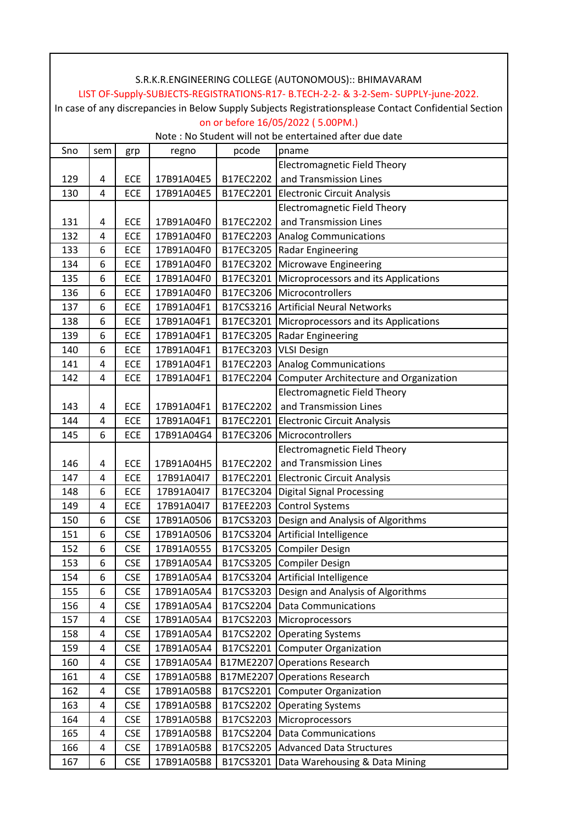|     |     |            |            |           | S.R.K.R.ENGINEERING COLLEGE (AUTONOMOUS):: BHIMAVARAM                                                  |
|-----|-----|------------|------------|-----------|--------------------------------------------------------------------------------------------------------|
|     |     |            |            |           | LIST OF-Supply-SUBJECTS-REGISTRATIONS-R17- B.TECH-2-2- & 3-2-Sem- SUPPLY-june-2022.                    |
|     |     |            |            |           | In case of any discrepancies in Below Supply Subjects Registrationsplease Contact Confidential Section |
|     |     |            |            |           | on or before 16/05/2022 (5.00PM.)                                                                      |
|     |     |            |            |           | Note: No Student will not be entertained after due date                                                |
| Sno | sem | grp        | regno      | pcode     | pname                                                                                                  |
|     |     |            |            |           | <b>Electromagnetic Field Theory</b>                                                                    |
| 129 | 4   | ECE        | 17B91A04E5 | B17EC2202 | and Transmission Lines                                                                                 |
| 130 | 4   | ECE        | 17B91A04E5 | B17EC2201 | <b>Electronic Circuit Analysis</b>                                                                     |
|     |     |            |            |           | <b>Electromagnetic Field Theory</b>                                                                    |
| 131 | 4   | <b>ECE</b> | 17B91A04F0 | B17EC2202 | and Transmission Lines                                                                                 |
| 132 | 4   | <b>ECE</b> | 17B91A04F0 | B17EC2203 | <b>Analog Communications</b>                                                                           |
| 133 | 6   | ECE        | 17B91A04F0 | B17EC3205 | <b>Radar Engineering</b>                                                                               |
| 134 | 6   | ECE        | 17B91A04F0 | B17EC3202 | Microwave Engineering                                                                                  |
| 135 | 6   | ECE        | 17B91A04F0 | B17EC3201 | Microprocessors and its Applications                                                                   |
| 136 | 6   | ECE        | 17B91A04F0 | B17EC3206 | Microcontrollers                                                                                       |
| 137 | 6   | ECE        | 17B91A04F1 | B17CS3216 | <b>Artificial Neural Networks</b>                                                                      |
| 138 | 6   | ECE        | 17B91A04F1 | B17EC3201 | Microprocessors and its Applications                                                                   |
| 139 | 6   | ECE        | 17B91A04F1 | B17EC3205 | Radar Engineering                                                                                      |
| 140 | 6   | ECE        | 17B91A04F1 | B17EC3203 | <b>VLSI Design</b>                                                                                     |
| 141 | 4   | ECE        | 17B91A04F1 | B17EC2203 | <b>Analog Communications</b>                                                                           |
| 142 | 4   | ECE        | 17B91A04F1 | B17EC2204 | <b>Computer Architecture and Organization</b>                                                          |
|     |     |            |            |           | <b>Electromagnetic Field Theory</b>                                                                    |
| 143 | 4   | ECE        | 17B91A04F1 | B17EC2202 | and Transmission Lines                                                                                 |
| 144 | 4   | ECE        | 17B91A04F1 | B17EC2201 | <b>Electronic Circuit Analysis</b>                                                                     |
| 145 | 6   | ECE        | 17B91A04G4 | B17EC3206 | Microcontrollers                                                                                       |
|     |     |            |            |           | <b>Electromagnetic Field Theory</b>                                                                    |
| 146 | 4   | <b>ECE</b> | 17B91A04H5 | B17EC2202 | and Transmission Lines                                                                                 |
| 147 | 4   | ECE        | 17B91A04I7 | B17EC2201 | <b>Electronic Circuit Analysis</b>                                                                     |
| 148 | 6   | ECE        | 17B91A04I7 | B17EC3204 | <b>Digital Signal Processing</b>                                                                       |
| 149 | 4   | ECE        | 17B91A04I7 | B17EE2203 | <b>Control Systems</b>                                                                                 |
| 150 | 6   | <b>CSE</b> | 17B91A0506 | B17CS3203 | Design and Analysis of Algorithms                                                                      |
| 151 | 6   | <b>CSE</b> | 17B91A0506 | B17CS3204 | Artificial Intelligence                                                                                |
| 152 | 6   | <b>CSE</b> | 17B91A0555 | B17CS3205 | <b>Compiler Design</b>                                                                                 |
| 153 | 6   | <b>CSE</b> | 17B91A05A4 | B17CS3205 | <b>Compiler Design</b>                                                                                 |
| 154 | 6   | <b>CSE</b> | 17B91A05A4 | B17CS3204 | Artificial Intelligence                                                                                |
| 155 | 6   | <b>CSE</b> | 17B91A05A4 | B17CS3203 | Design and Analysis of Algorithms                                                                      |
| 156 | 4   | <b>CSE</b> | 17B91A05A4 | B17CS2204 | <b>Data Communications</b>                                                                             |
| 157 | 4   | <b>CSE</b> | 17B91A05A4 | B17CS2203 | Microprocessors                                                                                        |
| 158 | 4   | <b>CSE</b> | 17B91A05A4 | B17CS2202 | <b>Operating Systems</b>                                                                               |
| 159 | 4   | <b>CSE</b> | 17B91A05A4 | B17CS2201 | <b>Computer Organization</b>                                                                           |
| 160 | 4   | <b>CSE</b> | 17B91A05A4 | B17ME2207 | <b>Operations Research</b>                                                                             |
| 161 | 4   | <b>CSE</b> | 17B91A05B8 | B17ME2207 | <b>Operations Research</b>                                                                             |
| 162 | 4   | <b>CSE</b> | 17B91A05B8 | B17CS2201 | <b>Computer Organization</b>                                                                           |
| 163 | 4   | <b>CSE</b> | 17B91A05B8 | B17CS2202 | <b>Operating Systems</b>                                                                               |
| 164 | 4   | <b>CSE</b> | 17B91A05B8 | B17CS2203 | Microprocessors                                                                                        |
| 165 | 4   | <b>CSE</b> | 17B91A05B8 | B17CS2204 | <b>Data Communications</b>                                                                             |
| 166 | 4   | <b>CSE</b> | 17B91A05B8 | B17CS2205 | <b>Advanced Data Structures</b>                                                                        |
| 167 | 6   | <b>CSE</b> | 17B91A05B8 | B17CS3201 | Data Warehousing & Data Mining                                                                         |

ヿ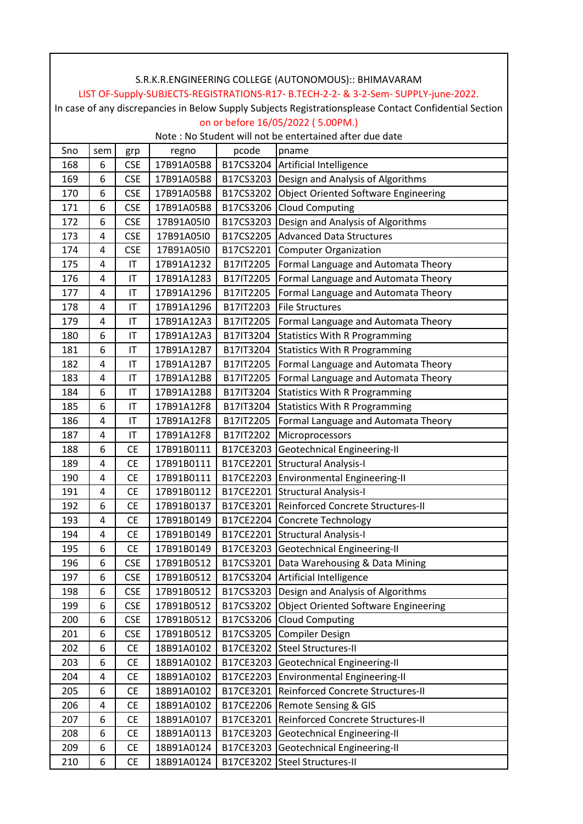|     |     |            |            |           | S.R.K.R.ENGINEERING COLLEGE (AUTONOMOUS):: BHIMAVARAM                                                  |
|-----|-----|------------|------------|-----------|--------------------------------------------------------------------------------------------------------|
|     |     |            |            |           | LIST OF-Supply-SUBJECTS-REGISTRATIONS-R17- B.TECH-2-2- & 3-2-Sem- SUPPLY-june-2022.                    |
|     |     |            |            |           | In case of any discrepancies in Below Supply Subjects Registrationsplease Contact Confidential Section |
|     |     |            |            |           | on or before 16/05/2022 (5.00PM.)                                                                      |
|     |     |            |            |           | Note: No Student will not be entertained after due date                                                |
| Sno | sem | grp        | regno      | pcode     | pname                                                                                                  |
| 168 | 6   | <b>CSE</b> | 17B91A05B8 |           | B17CS3204   Artificial Intelligence                                                                    |
| 169 | 6   | <b>CSE</b> | 17B91A05B8 |           | B17CS3203 Design and Analysis of Algorithms                                                            |
| 170 | 6   | <b>CSE</b> | 17B91A05B8 |           | B17CS3202 Object Oriented Software Engineering                                                         |
| 171 | 6   | <b>CSE</b> | 17B91A05B8 | B17CS3206 | <b>Cloud Computing</b>                                                                                 |
| 172 | 6   | <b>CSE</b> | 17B91A05I0 |           | B17CS3203 Design and Analysis of Algorithms                                                            |
| 173 | 4   | <b>CSE</b> | 17B91A05I0 | B17CS2205 | <b>Advanced Data Structures</b>                                                                        |
| 174 | 4   | <b>CSE</b> | 17B91A05I0 | B17CS2201 | <b>Computer Organization</b>                                                                           |
| 175 | 4   | IT         | 17B91A1232 | B17IT2205 | Formal Language and Automata Theory                                                                    |
| 176 | 4   | IT         | 17B91A1283 | B17IT2205 | Formal Language and Automata Theory                                                                    |
| 177 | 4   | IT         | 17B91A1296 | B17IT2205 | Formal Language and Automata Theory                                                                    |
| 178 | 4   | IT         | 17B91A1296 | B17IT2203 | <b>File Structures</b>                                                                                 |
| 179 | 4   | IT         | 17B91A12A3 | B17IT2205 | Formal Language and Automata Theory                                                                    |
| 180 | 6   | IT         | 17B91A12A3 | B17IT3204 | <b>Statistics With R Programming</b>                                                                   |
| 181 | 6   | IT         | 17B91A12B7 | B17IT3204 | <b>Statistics With R Programming</b>                                                                   |
| 182 | 4   | IT         | 17B91A12B7 | B17IT2205 | Formal Language and Automata Theory                                                                    |
| 183 | 4   | IT         | 17B91A12B8 | B17IT2205 | Formal Language and Automata Theory                                                                    |
| 184 | 6   | IT         | 17B91A12B8 | B17IT3204 | <b>Statistics With R Programming</b>                                                                   |
| 185 | 6   | IT         | 17B91A12F8 | B17IT3204 | <b>Statistics With R Programming</b>                                                                   |
| 186 | 4   | IT         | 17B91A12F8 | B17IT2205 | Formal Language and Automata Theory                                                                    |
| 187 | 4   | IT         | 17B91A12F8 | B17IT2202 | Microprocessors                                                                                        |
| 188 | 6   | CE         | 17B91B0111 | B17CE3203 | Geotechnical Engineering-II                                                                            |
| 189 | 4   | <b>CE</b>  | 17B91B0111 | B17CE2201 | <b>Structural Analysis-I</b>                                                                           |
| 190 | 4   | <b>CE</b>  | 17B91B0111 | B17CE2203 | <b>Environmental Engineering-II</b>                                                                    |
| 191 | 4   | <b>CE</b>  | 17B91B0112 |           | B17CE2201 Structural Analysis-I                                                                        |
| 192 | 6   | <b>CE</b>  |            |           | 17B91B0137   B17CE3201 Reinforced Concrete Structures-II                                               |
| 193 | 4   | СE         | 17B91B0149 | B17CE2204 | Concrete Technology                                                                                    |
| 194 | 4   | <b>CE</b>  | 17B91B0149 |           | B17CE2201 Structural Analysis-I                                                                        |
| 195 | 6   | СE         | 17B91B0149 | B17CE3203 | Geotechnical Engineering-II                                                                            |
| 196 | 6   | <b>CSE</b> | 17B91B0512 | B17CS3201 | Data Warehousing & Data Mining                                                                         |
| 197 | 6   | <b>CSE</b> | 17B91B0512 | B17CS3204 | Artificial Intelligence                                                                                |
| 198 | 6   | <b>CSE</b> | 17B91B0512 | B17CS3203 | Design and Analysis of Algorithms                                                                      |
| 199 | 6   | <b>CSE</b> | 17B91B0512 | B17CS3202 | <b>Object Oriented Software Engineering</b>                                                            |
| 200 | 6   | <b>CSE</b> | 17B91B0512 | B17CS3206 | <b>Cloud Computing</b>                                                                                 |
| 201 | 6   | <b>CSE</b> | 17B91B0512 | B17CS3205 | <b>Compiler Design</b>                                                                                 |
| 202 | 6   | CE         | 18B91A0102 | B17CE3202 | <b>Steel Structures-II</b>                                                                             |
| 203 | 6   | <b>CE</b>  | 18B91A0102 | B17CE3203 | Geotechnical Engineering-II                                                                            |
| 204 | 4   | <b>CE</b>  | 18B91A0102 | B17CE2203 | Environmental Engineering-II                                                                           |
| 205 | 6   | СE         | 18B91A0102 | B17CE3201 | Reinforced Concrete Structures-II                                                                      |
| 206 | 4   | <b>CE</b>  | 18B91A0102 | B17CE2206 | Remote Sensing & GIS                                                                                   |
| 207 | 6   | СE         | 18B91A0107 | B17CE3201 | Reinforced Concrete Structures-II                                                                      |
| 208 | 6   | <b>CE</b>  | 18B91A0113 | B17CE3203 | Geotechnical Engineering-II                                                                            |
| 209 | 6   | <b>CE</b>  | 18B91A0124 | B17CE3203 | <b>Geotechnical Engineering-II</b>                                                                     |
| 210 | 6   | CE         | 18B91A0124 | B17CE3202 | Steel Structures-II                                                                                    |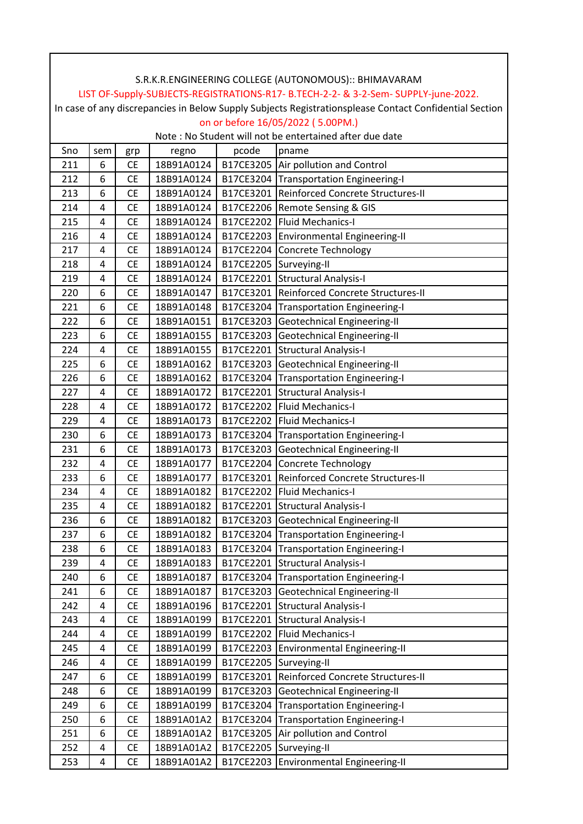|     | S.R.K.R.ENGINEERING COLLEGE (AUTONOMOUS):: BHIMAVARAM<br>LIST OF-Supply-SUBJECTS-REGISTRATIONS-R17- B.TECH-2-2- & 3-2-Sem- SUPPLY-june-2022. |           |            |           |                                                                                                        |  |  |  |  |
|-----|----------------------------------------------------------------------------------------------------------------------------------------------|-----------|------------|-----------|--------------------------------------------------------------------------------------------------------|--|--|--|--|
|     |                                                                                                                                              |           |            |           |                                                                                                        |  |  |  |  |
|     |                                                                                                                                              |           |            |           | In case of any discrepancies in Below Supply Subjects Registrationsplease Contact Confidential Section |  |  |  |  |
|     |                                                                                                                                              |           |            |           | on or before 16/05/2022 (5.00PM.)                                                                      |  |  |  |  |
|     |                                                                                                                                              |           |            |           | Note: No Student will not be entertained after due date                                                |  |  |  |  |
| Sno | sem                                                                                                                                          | grp       | regno      | pcode     | pname                                                                                                  |  |  |  |  |
| 211 | 6                                                                                                                                            | <b>CE</b> | 18B91A0124 |           | B17CE3205 Air pollution and Control                                                                    |  |  |  |  |
| 212 | 6                                                                                                                                            | <b>CE</b> | 18B91A0124 |           | B17CE3204 Transportation Engineering-I                                                                 |  |  |  |  |
| 213 | 6                                                                                                                                            | <b>CE</b> | 18B91A0124 |           | B17CE3201 Reinforced Concrete Structures-II                                                            |  |  |  |  |
| 214 | 4                                                                                                                                            | <b>CE</b> | 18B91A0124 | B17CE2206 | <b>Remote Sensing &amp; GIS</b>                                                                        |  |  |  |  |
| 215 | 4                                                                                                                                            | <b>CE</b> | 18B91A0124 |           | B17CE2202 Fluid Mechanics-I                                                                            |  |  |  |  |
| 216 | 4                                                                                                                                            | <b>CE</b> | 18B91A0124 | B17CE2203 | <b>Environmental Engineering-II</b>                                                                    |  |  |  |  |
| 217 | 4                                                                                                                                            | <b>CE</b> | 18B91A0124 | B17CE2204 | <b>Concrete Technology</b>                                                                             |  |  |  |  |
| 218 | 4                                                                                                                                            | <b>CE</b> | 18B91A0124 | B17CE2205 | Surveying-II                                                                                           |  |  |  |  |
| 219 | 4                                                                                                                                            | <b>CE</b> | 18B91A0124 | B17CE2201 | <b>Structural Analysis-I</b>                                                                           |  |  |  |  |
| 220 | 6                                                                                                                                            | <b>CE</b> | 18B91A0147 | B17CE3201 | Reinforced Concrete Structures-II                                                                      |  |  |  |  |
| 221 | 6                                                                                                                                            | <b>CE</b> | 18B91A0148 | B17CE3204 | Transportation Engineering-I                                                                           |  |  |  |  |
| 222 | 6                                                                                                                                            | <b>CE</b> | 18B91A0151 | B17CE3203 | Geotechnical Engineering-II                                                                            |  |  |  |  |
| 223 | 6                                                                                                                                            | <b>CE</b> | 18B91A0155 | B17CE3203 | Geotechnical Engineering-II                                                                            |  |  |  |  |
| 224 | 4                                                                                                                                            | <b>CE</b> | 18B91A0155 | B17CE2201 | <b>Structural Analysis-I</b>                                                                           |  |  |  |  |
| 225 | 6                                                                                                                                            | <b>CE</b> | 18B91A0162 | B17CE3203 | Geotechnical Engineering-II                                                                            |  |  |  |  |
| 226 | 6                                                                                                                                            | <b>CE</b> | 18B91A0162 | B17CE3204 | <b>Transportation Engineering-I</b>                                                                    |  |  |  |  |
| 227 | 4                                                                                                                                            | <b>CE</b> | 18B91A0172 | B17CE2201 | <b>Structural Analysis-I</b>                                                                           |  |  |  |  |
| 228 | 4                                                                                                                                            | <b>CE</b> | 18B91A0172 | B17CE2202 | <b>Fluid Mechanics-I</b>                                                                               |  |  |  |  |
| 229 | 4                                                                                                                                            | <b>CE</b> | 18B91A0173 | B17CE2202 | <b>Fluid Mechanics-I</b>                                                                               |  |  |  |  |
| 230 | 6                                                                                                                                            | <b>CE</b> | 18B91A0173 | B17CE3204 | <b>Transportation Engineering-I</b>                                                                    |  |  |  |  |
| 231 | 6                                                                                                                                            | <b>CE</b> | 18B91A0173 | B17CE3203 | Geotechnical Engineering-II                                                                            |  |  |  |  |
| 232 | 4                                                                                                                                            | <b>CE</b> | 18B91A0177 | B17CE2204 | <b>Concrete Technology</b>                                                                             |  |  |  |  |
| 233 | 6                                                                                                                                            | <b>CE</b> | 18B91A0177 | B17CE3201 | Reinforced Concrete Structures-II                                                                      |  |  |  |  |
| 234 | 4                                                                                                                                            | <b>CE</b> | 18B91A0182 |           | B17CE2202 Fluid Mechanics-I                                                                            |  |  |  |  |
| 235 | $\overline{\mathbf{4}}$                                                                                                                      | <b>CE</b> |            |           | 18B91A0182   B17CE2201 Structural Analysis-I                                                           |  |  |  |  |
| 236 | 6                                                                                                                                            | CE        | 18B91A0182 | B17CE3203 | <b>Geotechnical Engineering-II</b>                                                                     |  |  |  |  |
| 237 | 6                                                                                                                                            | <b>CE</b> | 18B91A0182 | B17CE3204 | <b>Transportation Engineering-I</b>                                                                    |  |  |  |  |
| 238 | 6                                                                                                                                            | <b>CE</b> | 18B91A0183 | B17CE3204 | <b>Transportation Engineering-I</b>                                                                    |  |  |  |  |
| 239 | 4                                                                                                                                            | <b>CE</b> | 18B91A0183 | B17CE2201 | <b>Structural Analysis-I</b>                                                                           |  |  |  |  |
| 240 | 6                                                                                                                                            | CE        | 18B91A0187 | B17CE3204 | <b>Transportation Engineering-I</b>                                                                    |  |  |  |  |
| 241 | 6                                                                                                                                            | <b>CE</b> | 18B91A0187 | B17CE3203 | Geotechnical Engineering-II                                                                            |  |  |  |  |
| 242 | 4                                                                                                                                            | <b>CE</b> | 18B91A0196 | B17CE2201 | <b>Structural Analysis-I</b>                                                                           |  |  |  |  |
| 243 | 4                                                                                                                                            | CE        | 18B91A0199 | B17CE2201 | <b>Structural Analysis-I</b>                                                                           |  |  |  |  |
| 244 | 4                                                                                                                                            | <b>CE</b> | 18B91A0199 | B17CE2202 | <b>Fluid Mechanics-I</b>                                                                               |  |  |  |  |
| 245 | 4                                                                                                                                            | CE        | 18B91A0199 | B17CE2203 | <b>Environmental Engineering-II</b>                                                                    |  |  |  |  |
| 246 | 4                                                                                                                                            | CE        | 18B91A0199 | B17CE2205 | Surveying-II                                                                                           |  |  |  |  |
| 247 | 6                                                                                                                                            | CE        | 18B91A0199 | B17CE3201 | Reinforced Concrete Structures-II                                                                      |  |  |  |  |
| 248 | 6                                                                                                                                            | CE        | 18B91A0199 | B17CE3203 | Geotechnical Engineering-II                                                                            |  |  |  |  |
| 249 | 6                                                                                                                                            | <b>CE</b> | 18B91A0199 | B17CE3204 | <b>Transportation Engineering-I</b>                                                                    |  |  |  |  |
| 250 | 6                                                                                                                                            | <b>CE</b> | 18B91A01A2 | B17CE3204 | <b>Transportation Engineering-I</b>                                                                    |  |  |  |  |
| 251 | 6                                                                                                                                            | <b>CE</b> | 18B91A01A2 | B17CE3205 | Air pollution and Control                                                                              |  |  |  |  |
| 252 | 4                                                                                                                                            | CE        | 18B91A01A2 | B17CE2205 | Surveying-II                                                                                           |  |  |  |  |
| 253 | 4                                                                                                                                            | <b>CE</b> | 18B91A01A2 | B17CE2203 | Environmental Engineering-II                                                                           |  |  |  |  |

 $\overline{\phantom{a}}$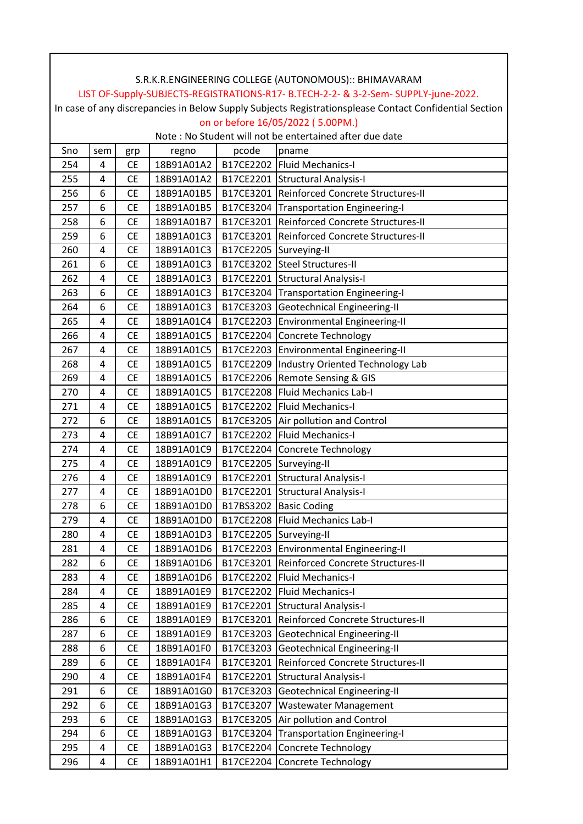|     |     |           |                                   |           | LIST OF-Supply-SUBJECTS-REGISTRATIONS-R17- B.TECH-2-2- & 3-2-Sem- SUPPLY-june-2022.                    |
|-----|-----|-----------|-----------------------------------|-----------|--------------------------------------------------------------------------------------------------------|
|     |     |           |                                   |           | In case of any discrepancies in Below Supply Subjects Registrationsplease Contact Confidential Section |
|     |     |           |                                   |           | on or before 16/05/2022 (5.00PM.)                                                                      |
|     |     |           |                                   |           | Note: No Student will not be entertained after due date                                                |
| Sno | sem | grp       | regno                             | pcode     | pname                                                                                                  |
| 254 | 4   | <b>CE</b> | 18B91A01A2                        |           | B17CE2202 Fluid Mechanics-I                                                                            |
| 255 | 4   | <b>CE</b> | 18B91A01A2                        |           | B17CE2201 Structural Analysis-I                                                                        |
| 256 | 6   | <b>CE</b> | 18B91A01B5                        |           | B17CE3201 Reinforced Concrete Structures-II                                                            |
| 257 | 6   | <b>CE</b> | 18B91A01B5                        |           | B17CE3204 Transportation Engineering-I                                                                 |
| 258 | 6   | <b>CE</b> | 18B91A01B7                        |           | B17CE3201 Reinforced Concrete Structures-II                                                            |
| 259 | 6   | <b>CE</b> | 18B91A01C3                        |           | B17CE3201 Reinforced Concrete Structures-II                                                            |
| 260 | 4   | <b>CE</b> | 18B91A01C3                        |           | B17CE2205 Surveying-II                                                                                 |
| 261 | 6   | <b>CE</b> | 18B91A01C3                        |           | B17CE3202 Steel Structures-II                                                                          |
| 262 | 4   | <b>CE</b> | 18B91A01C3                        |           | B17CE2201 Structural Analysis-I                                                                        |
| 263 | 6   | <b>CE</b> | 18B91A01C3                        |           | B17CE3204 Transportation Engineering-I                                                                 |
| 264 | 6   | <b>CE</b> | 18B91A01C3                        |           | B17CE3203 Geotechnical Engineering-II                                                                  |
| 265 | 4   | <b>CE</b> | 18B91A01C4                        |           | B17CE2203 Environmental Engineering-II                                                                 |
| 266 | 4   | <b>CE</b> | 18B91A01C5                        |           | B17CE2204 Concrete Technology                                                                          |
| 267 | 4   | <b>CE</b> | 18B91A01C5                        |           | B17CE2203 Environmental Engineering-II                                                                 |
| 268 | 4   | <b>CE</b> | 18B91A01C5                        |           | B17CE2209  Industry Oriented Technology Lab                                                            |
| 269 | 4   | <b>CE</b> | 18B91A01C5                        |           | B17CE2206 Remote Sensing & GIS                                                                         |
| 270 | 4   | <b>CE</b> | 18B91A01C5                        |           | B17CE2208 Fluid Mechanics Lab-I                                                                        |
| 271 | 4   | <b>CE</b> | 18B91A01C5                        |           | B17CE2202   Fluid Mechanics-I                                                                          |
| 272 | 6   | <b>CE</b> | 18B91A01C5                        |           | B17CE3205 Air pollution and Control                                                                    |
| 273 | 4   | <b>CE</b> | 18B91A01C7                        |           | B17CE2202 Fluid Mechanics-I                                                                            |
| 274 | 4   | <b>CE</b> | 18B91A01C9                        |           | B17CE2204 Concrete Technology                                                                          |
| 275 | 4   | <b>CE</b> | 18B91A01C9                        |           | B17CE2205 Surveying-II                                                                                 |
| 276 | 4   | <b>CE</b> | 18B91A01C9                        |           | B17CE2201 Structural Analysis-I                                                                        |
| 277 | 4   | <b>CE</b> | 18B91A01D0                        |           | B17CE2201 Structural Analysis-I                                                                        |
| 278 | 6   | <b>CE</b> | 18B91A01D0 B17BS3202 Basic Coding |           |                                                                                                        |
| 279 | 4   | <b>CE</b> | 18B91A01D0                        |           | B17CE2208   Fluid Mechanics Lab-I                                                                      |
| 280 | 4   | <b>CE</b> | 18B91A01D3                        |           | B17CE2205 Surveying-II                                                                                 |
| 281 | 4   | <b>CE</b> | 18B91A01D6                        |           | B17CE2203 Environmental Engineering-II                                                                 |
| 282 | 6   | <b>CE</b> | 18B91A01D6                        |           | B17CE3201 Reinforced Concrete Structures-II                                                            |
| 283 | 4   | <b>CE</b> | 18B91A01D6                        |           | B17CE2202   Fluid Mechanics-I                                                                          |
| 284 | 4   | <b>CE</b> | 18B91A01E9                        |           | B17CE2202 Fluid Mechanics-I                                                                            |
| 285 | 4   | <b>CE</b> | 18B91A01E9                        |           | B17CE2201 Structural Analysis-I                                                                        |
| 286 | 6   | <b>CE</b> | 18B91A01E9                        |           | B17CE3201 Reinforced Concrete Structures-II                                                            |
| 287 | 6   | <b>CE</b> | 18B91A01E9                        |           | B17CE3203 Geotechnical Engineering-II                                                                  |
| 288 | 6   | <b>CE</b> | 18B91A01F0                        |           | B17CE3203 Geotechnical Engineering-II                                                                  |
| 289 | 6   | <b>CE</b> | 18B91A01F4                        |           | B17CE3201 Reinforced Concrete Structures-II                                                            |
| 290 | 4   | <b>CE</b> | 18B91A01F4                        |           | B17CE2201 Structural Analysis-I                                                                        |
| 291 | 6   | <b>CE</b> | 18B91A01G0                        | B17CE3203 | Geotechnical Engineering-II                                                                            |
| 292 | 6   | <b>CE</b> | 18B91A01G3                        | B17CE3207 | <b>Wastewater Management</b>                                                                           |
| 293 | 6   | <b>CE</b> | 18B91A01G3                        |           | B17CE3205 Air pollution and Control                                                                    |
| 294 | 6   | <b>CE</b> | 18B91A01G3                        |           | B17CE3204 Transportation Engineering-I                                                                 |
| 295 | 4   | <b>CE</b> | 18B91A01G3                        |           | B17CE2204 Concrete Technology                                                                          |
| 296 | 4   | <b>CE</b> | 18B91A01H1                        |           | B17CE2204 Concrete Technology                                                                          |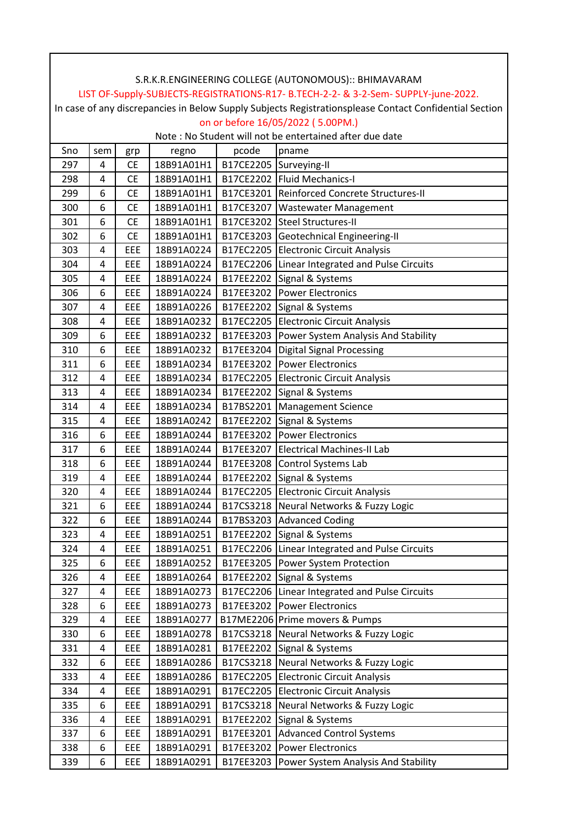|     |       |           |            |                        | LIST OF-Supply-SUBJECTS-REGISTRATIONS-R17- B.TECH-2-2- & 3-2-Sem- SUPPLY-june-2022.                    |
|-----|-------|-----------|------------|------------------------|--------------------------------------------------------------------------------------------------------|
|     |       |           |            |                        | In case of any discrepancies in Below Supply Subjects Registrationsplease Contact Confidential Section |
|     |       |           |            |                        | on or before 16/05/2022 (5.00PM.)                                                                      |
|     |       |           |            |                        | Note: No Student will not be entertained after due date                                                |
| Sno | sem   | grp       | regno      | pcode                  | pname                                                                                                  |
| 297 | 4     | <b>CE</b> | 18B91A01H1 | B17CE2205 Surveying-II |                                                                                                        |
| 298 | 4     | <b>CE</b> | 18B91A01H1 |                        | B17CE2202 Fluid Mechanics-I                                                                            |
| 299 | 6     | <b>CE</b> | 18B91A01H1 |                        | B17CE3201 Reinforced Concrete Structures-II                                                            |
| 300 | 6     | <b>CE</b> | 18B91A01H1 |                        | B17CE3207   Wastewater Management                                                                      |
| 301 | 6     | <b>CE</b> | 18B91A01H1 |                        | B17CE3202 Steel Structures-II                                                                          |
| 302 | 6     | <b>CE</b> | 18B91A01H1 |                        | B17CE3203 Geotechnical Engineering-II                                                                  |
| 303 | 4     | EEE       | 18B91A0224 |                        | B17EC2205 Electronic Circuit Analysis                                                                  |
| 304 | 4     | EEE       | 18B91A0224 |                        | B17EC2206 Linear Integrated and Pulse Circuits                                                         |
| 305 | 4     | EEE       | 18B91A0224 |                        | B17EE2202 Signal & Systems                                                                             |
| 306 | 6     | EEE       | 18B91A0224 |                        | B17EE3202 Power Electronics                                                                            |
| 307 | 4     | EEE       | 18B91A0226 |                        | B17EE2202 Signal & Systems                                                                             |
| 308 | 4     | EEE       | 18B91A0232 |                        | B17EC2205 Electronic Circuit Analysis                                                                  |
| 309 | 6     | EEE       | 18B91A0232 |                        | B17EE3203 Power System Analysis And Stability                                                          |
| 310 | 6     | EEE       | 18B91A0232 |                        | B17EE3204   Digital Signal Processing                                                                  |
| 311 | 6     | EEE       | 18B91A0234 |                        | B17EE3202 Power Electronics                                                                            |
| 312 | 4     | EEE       | 18B91A0234 |                        | B17EC2205 Electronic Circuit Analysis                                                                  |
| 313 | 4     | EEE       | 18B91A0234 |                        | B17EE2202 Signal & Systems                                                                             |
| 314 | 4     | EEE       | 18B91A0234 |                        | B17BS2201 Management Science                                                                           |
| 315 | 4     | EEE       | 18B91A0242 |                        | B17EE2202 Signal & Systems                                                                             |
| 316 | 6     | EEE       | 18B91A0244 |                        | B17EE3202 Power Electronics                                                                            |
| 317 | 6     | EEE       | 18B91A0244 |                        | B17EE3207 Electrical Machines-II Lab                                                                   |
| 318 | 6     | EEE       | 18B91A0244 |                        | B17EE3208 Control Systems Lab                                                                          |
| 319 | 4     | EEE       | 18B91A0244 |                        | B17EE2202 Signal & Systems                                                                             |
| 320 | 4     | EEE       | 18B91A0244 |                        | B17EC2205 Electronic Circuit Analysis                                                                  |
| 321 | $6\,$ | EEE       | 18B91A0244 |                        | B17CS3218 Neural Networks & Fuzzy Logic                                                                |
| 322 | 6     | EEE       | 18B91A0244 |                        | B17BS3203 Advanced Coding                                                                              |
| 323 | 4     | EEE       | 18B91A0251 |                        | B17EE2202 Signal & Systems                                                                             |
| 324 | 4     | EEE       | 18B91A0251 |                        | B17EC2206 Linear Integrated and Pulse Circuits                                                         |
| 325 | 6     | EEE       | 18B91A0252 |                        | B17EE3205 Power System Protection                                                                      |
| 326 | 4     | EEE       | 18B91A0264 |                        | B17EE2202 Signal & Systems                                                                             |
| 327 | 4     | EEE       | 18B91A0273 |                        | B17EC2206 Linear Integrated and Pulse Circuits                                                         |
| 328 | 6     | EEE       | 18B91A0273 |                        | B17EE3202 Power Electronics                                                                            |
| 329 | 4     | EEE       | 18B91A0277 |                        | B17ME2206 Prime movers & Pumps                                                                         |
| 330 | 6     | EEE       | 18B91A0278 |                        | B17CS3218 Neural Networks & Fuzzy Logic                                                                |
| 331 | 4     | EEE       | 18B91A0281 |                        | B17EE2202 Signal & Systems                                                                             |
| 332 | 6     | EEE       | 18B91A0286 |                        | B17CS3218 Neural Networks & Fuzzy Logic                                                                |
| 333 | 4     | EEE       | 18B91A0286 |                        | B17EC2205 Electronic Circuit Analysis                                                                  |
| 334 | 4     | EEE       | 18B91A0291 |                        | B17EC2205 Electronic Circuit Analysis                                                                  |
| 335 | 6     | EEE       | 18B91A0291 |                        | B17CS3218 Neural Networks & Fuzzy Logic                                                                |
| 336 | 4     | EEE       | 18B91A0291 |                        | B17EE2202 Signal & Systems                                                                             |
| 337 | 6     | EEE       | 18B91A0291 |                        | B17EE3201 Advanced Control Systems                                                                     |
| 338 | 6     | EEE       | 18B91A0291 |                        | B17EE3202 Power Electronics                                                                            |
| 339 | 6     | EEE       | 18B91A0291 |                        | B17EE3203 Power System Analysis And Stability                                                          |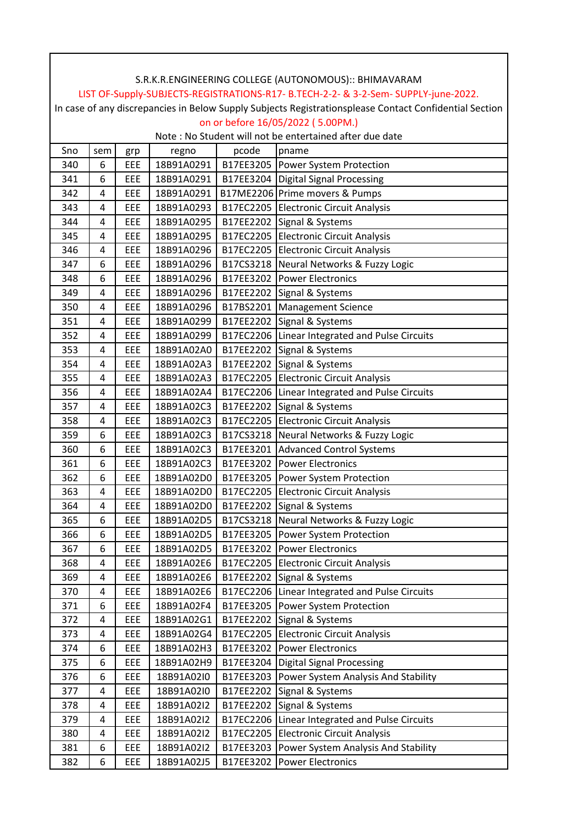|     |     |     |            |           | LIST OF-Supply-SUBJECTS-REGISTRATIONS-R17- B.TECH-2-2- & 3-2-Sem- SUPPLY-june-2022.                    |
|-----|-----|-----|------------|-----------|--------------------------------------------------------------------------------------------------------|
|     |     |     |            |           | In case of any discrepancies in Below Supply Subjects Registrationsplease Contact Confidential Section |
|     |     |     |            |           | on or before 16/05/2022 (5.00PM.)                                                                      |
|     |     |     |            |           | Note: No Student will not be entertained after due date                                                |
| Sno | sem | grp | regno      | pcode     | pname                                                                                                  |
| 340 | 6   | EEE | 18B91A0291 |           | B17EE3205   Power System Protection                                                                    |
| 341 | 6   | EEE | 18B91A0291 |           | B17EE3204   Digital Signal Processing                                                                  |
| 342 | 4   | EEE | 18B91A0291 |           | B17ME2206 Prime movers & Pumps                                                                         |
| 343 | 4   | EEE | 18B91A0293 |           | B17EC2205 Electronic Circuit Analysis                                                                  |
| 344 | 4   | EEE | 18B91A0295 |           | B17EE2202 Signal & Systems                                                                             |
| 345 | 4   | EEE | 18B91A0295 |           | B17EC2205 Electronic Circuit Analysis                                                                  |
| 346 | 4   | EEE | 18B91A0296 |           | B17EC2205 Electronic Circuit Analysis                                                                  |
| 347 | 6   | EEE | 18B91A0296 |           | B17CS3218 Neural Networks & Fuzzy Logic                                                                |
| 348 | 6   | EEE | 18B91A0296 |           | B17EE3202 Power Electronics                                                                            |
| 349 | 4   | EEE | 18B91A0296 |           | B17EE2202 Signal & Systems                                                                             |
| 350 | 4   | EEE | 18B91A0296 |           | B17BS2201 Management Science                                                                           |
| 351 | 4   | EEE | 18B91A0299 |           | B17EE2202 Signal & Systems                                                                             |
| 352 | 4   | EEE | 18B91A0299 |           | B17EC2206 Linear Integrated and Pulse Circuits                                                         |
| 353 | 4   | EEE | 18B91A02A0 |           | B17EE2202 Signal & Systems                                                                             |
| 354 | 4   | EEE | 18B91A02A3 |           | B17EE2202 Signal & Systems                                                                             |
| 355 | 4   | EEE | 18B91A02A3 |           | B17EC2205 Electronic Circuit Analysis                                                                  |
| 356 | 4   | EEE | 18B91A02A4 |           | B17EC2206 Linear Integrated and Pulse Circuits                                                         |
| 357 | 4   | EEE | 18B91A02C3 |           | B17EE2202 Signal & Systems                                                                             |
| 358 | 4   | EEE | 18B91A02C3 |           | B17EC2205 Electronic Circuit Analysis                                                                  |
| 359 | 6   | EEE | 18B91A02C3 |           | B17CS3218 Neural Networks & Fuzzy Logic                                                                |
| 360 | 6   | EEE | 18B91A02C3 |           | B17EE3201 Advanced Control Systems                                                                     |
| 361 | 6   | EEE | 18B91A02C3 |           | B17EE3202 Power Electronics                                                                            |
| 362 | 6   | EEE | 18B91A02D0 |           | B17EE3205   Power System Protection                                                                    |
| 363 | 4   | EEE | 18B91A02D0 |           | B17EC2205 Electronic Circuit Analysis                                                                  |
| 364 | 4   | EEE |            |           | 18B91A02D0   B17EE2202 Signal & Systems                                                                |
| 365 | 6   | EEE | 18B91A02D5 |           | B17CS3218 Neural Networks & Fuzzy Logic                                                                |
| 366 | 6   | EEE | 18B91A02D5 |           | B17EE3205 Power System Protection                                                                      |
| 367 | 6   | EEE | 18B91A02D5 |           | B17EE3202 Power Electronics                                                                            |
| 368 | 4   | EEE | 18B91A02E6 |           | B17EC2205 Electronic Circuit Analysis                                                                  |
| 369 | 4   | EEE | 18B91A02E6 |           | B17EE2202 Signal & Systems                                                                             |
| 370 | 4   | EEE | 18B91A02E6 |           | B17EC2206 Linear Integrated and Pulse Circuits                                                         |
| 371 | 6   | EEE | 18B91A02F4 |           | B17EE3205 Power System Protection                                                                      |
| 372 | 4   | EEE | 18B91A02G1 |           | B17EE2202 Signal & Systems                                                                             |
| 373 | 4   | EEE | 18B91A02G4 |           | B17EC2205 Electronic Circuit Analysis                                                                  |
| 374 | 6   | EEE | 18B91A02H3 |           | B17EE3202 Power Electronics                                                                            |
| 375 | 6   | EEE | 18B91A02H9 |           | B17EE3204   Digital Signal Processing                                                                  |
| 376 | 6   | EEE | 18B91A02I0 |           | B17EE3203 Power System Analysis And Stability                                                          |
| 377 | 4   | EEE | 18B91A02I0 |           | B17EE2202 Signal & Systems                                                                             |
| 378 | 4   | EEE | 18B91A02I2 |           | B17EE2202 Signal & Systems                                                                             |
| 379 | 4   | EEE | 18B91A02I2 | B17EC2206 | Linear Integrated and Pulse Circuits                                                                   |
| 380 | 4   | EEE | 18B91A02I2 |           | B17EC2205 Electronic Circuit Analysis                                                                  |
| 381 | 6   | EEE | 18B91A02I2 |           | B17EE3203 Power System Analysis And Stability                                                          |
| 382 | 6   | EEE | 18B91A02J5 | B17EE3202 | Power Electronics                                                                                      |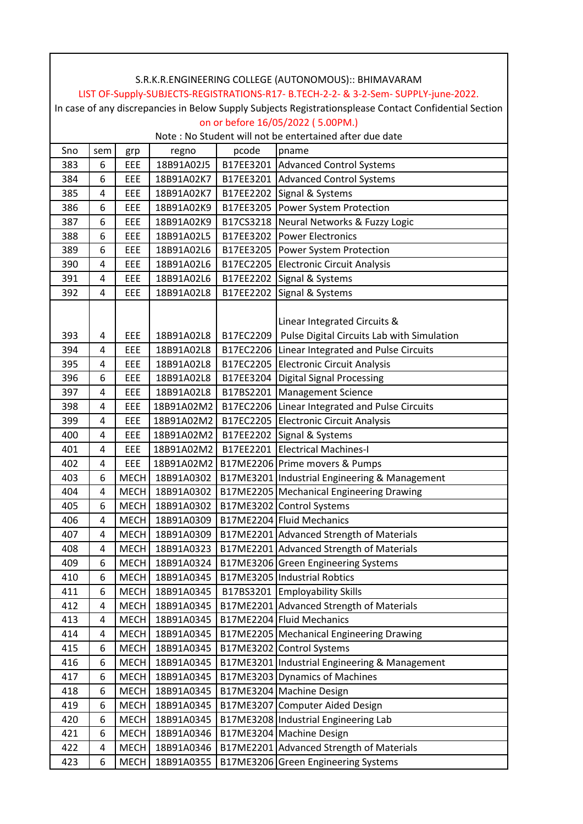|     |     |             |            |           | S.R.K.R.ENGINEERING COLLEGE (AUTONOMOUS):: BHIMAVARAM                                                  |
|-----|-----|-------------|------------|-----------|--------------------------------------------------------------------------------------------------------|
|     |     |             |            |           | LIST OF-Supply-SUBJECTS-REGISTRATIONS-R17- B.TECH-2-2- & 3-2-Sem- SUPPLY-june-2022.                    |
|     |     |             |            |           | In case of any discrepancies in Below Supply Subjects Registrationsplease Contact Confidential Section |
|     |     |             |            |           | on or before 16/05/2022 (5.00PM.)                                                                      |
|     |     |             |            |           | Note : No Student will not be entertained after due date                                               |
| Sno | sem | grp         | regno      | pcode     | pname                                                                                                  |
| 383 | 6   | EEE         | 18B91A02J5 |           | B17EE3201 Advanced Control Systems                                                                     |
| 384 | 6   | EEE         | 18B91A02K7 |           | B17EE3201 Advanced Control Systems                                                                     |
| 385 | 4   | EEE         | 18B91A02K7 |           | B17EE2202 Signal & Systems                                                                             |
| 386 | 6   | EEE         | 18B91A02K9 |           | B17EE3205 Power System Protection                                                                      |
| 387 | 6   | EEE         | 18B91A02K9 |           | B17CS3218 Neural Networks & Fuzzy Logic                                                                |
| 388 | 6   | EEE         | 18B91A02L5 |           | B17EE3202 Power Electronics                                                                            |
| 389 | 6   | EEE         | 18B91A02L6 |           | B17EE3205 Power System Protection                                                                      |
| 390 | 4   | EEE         | 18B91A02L6 |           | B17EC2205 Electronic Circuit Analysis                                                                  |
| 391 | 4   | EEE         | 18B91A02L6 |           | B17EE2202 Signal & Systems                                                                             |
| 392 | 4   | EEE         | 18B91A02L8 |           | B17EE2202 Signal & Systems                                                                             |
|     |     |             |            |           |                                                                                                        |
|     |     |             |            |           | Linear Integrated Circuits &                                                                           |
| 393 | 4   | EEE         | 18B91A02L8 | B17EC2209 | Pulse Digital Circuits Lab with Simulation                                                             |
| 394 | 4   | EEE         | 18B91A02L8 |           | B17EC2206 Linear Integrated and Pulse Circuits                                                         |
| 395 | 4   | EEE         | 18B91A02L8 |           | B17EC2205 Electronic Circuit Analysis                                                                  |
| 396 | 6   | EEE         | 18B91A02L8 | B17EE3204 | <b>Digital Signal Processing</b>                                                                       |
| 397 | 4   | EEE         | 18B91A02L8 |           | B17BS2201   Management Science                                                                         |
| 398 | 4   | EEE         | 18B91A02M2 |           | B17EC2206 Linear Integrated and Pulse Circuits                                                         |
| 399 | 4   | EEE         | 18B91A02M2 |           | B17EC2205 Electronic Circuit Analysis                                                                  |
| 400 | 4   | EEE         | 18B91A02M2 |           | B17EE2202 Signal & Systems                                                                             |
| 401 | 4   | EEE         | 18B91A02M2 |           | B17EE2201 Electrical Machines-I                                                                        |
| 402 | 4   | EEE         | 18B91A02M2 |           | B17ME2206 Prime movers & Pumps                                                                         |
| 403 | 6   | <b>MECH</b> | 18B91A0302 |           | B17ME3201 Industrial Engineering & Management                                                          |
| 404 | 4   | <b>MECH</b> | 18B91A0302 |           | B17ME2205 Mechanical Engineering Drawing                                                               |
| 405 | 6   | <b>MECH</b> | 18B91A0302 |           | B17ME3202 Control Systems                                                                              |
| 406 | 4   | <b>MECH</b> | 18B91A0309 |           | B17ME2204 Fluid Mechanics                                                                              |
| 407 | 4   | <b>MECH</b> | 18B91A0309 |           | B17ME2201 Advanced Strength of Materials                                                               |
| 408 | 4   | <b>MECH</b> | 18B91A0323 |           | B17ME2201 Advanced Strength of Materials                                                               |
| 409 | 6   | <b>MECH</b> | 18B91A0324 |           | B17ME3206 Green Engineering Systems                                                                    |
| 410 | 6   | <b>MECH</b> | 18B91A0345 |           | B17ME3205 Industrial Robtics                                                                           |
| 411 | 6   | <b>MECH</b> | 18B91A0345 |           | B17BS3201 Employability Skills                                                                         |
| 412 | 4   | <b>MECH</b> | 18B91A0345 |           | B17ME2201 Advanced Strength of Materials                                                               |
| 413 | 4   | <b>MECH</b> | 18B91A0345 |           | B17ME2204 Fluid Mechanics                                                                              |
| 414 | 4   | <b>MECH</b> | 18B91A0345 |           | B17ME2205 Mechanical Engineering Drawing                                                               |
| 415 | 6   | <b>MECH</b> | 18B91A0345 |           | B17ME3202 Control Systems                                                                              |
| 416 | 6   | <b>MECH</b> | 18B91A0345 |           | B17ME3201 Industrial Engineering & Management                                                          |
| 417 | 6   | <b>MECH</b> | 18B91A0345 |           | B17ME3203 Dynamics of Machines                                                                         |
| 418 | 6   | <b>MECH</b> | 18B91A0345 |           | B17ME3204 Machine Design                                                                               |
| 419 | 6   | <b>MECH</b> | 18B91A0345 |           | B17ME3207 Computer Aided Design                                                                        |
| 420 | 6   | <b>MECH</b> | 18B91A0345 |           | B17ME3208 Industrial Engineering Lab                                                                   |
| 421 | 6   | <b>MECH</b> | 18B91A0346 |           | B17ME3204 Machine Design                                                                               |
| 422 | 4   | <b>MECH</b> | 18B91A0346 |           | B17ME2201 Advanced Strength of Materials                                                               |
| 423 | 6   | <b>MECH</b> | 18B91A0355 |           | B17ME3206 Green Engineering Systems                                                                    |

ヿ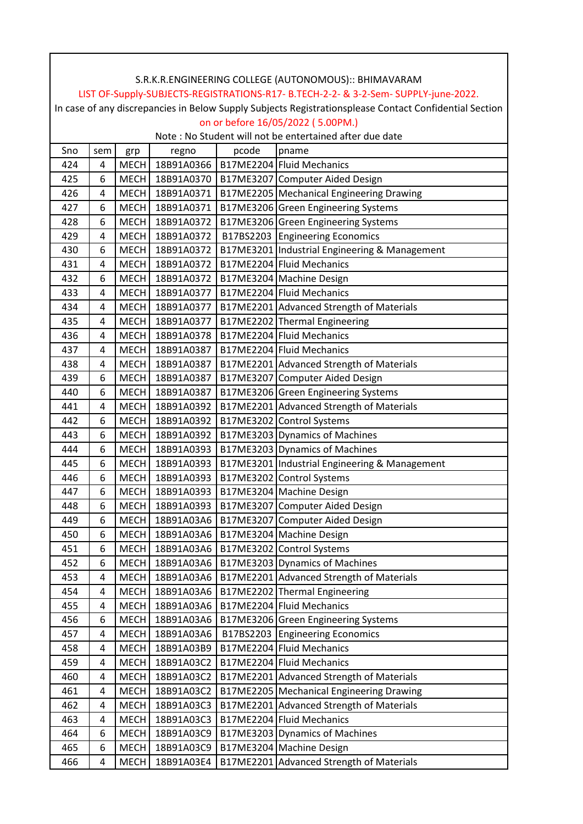|     |                |             |                 |       | LIST OF-Supply-SUBJECTS-REGISTRATIONS-R17- B.TECH-2-2- & 3-2-Sem- SUPPLY-june-2022.                    |
|-----|----------------|-------------|-----------------|-------|--------------------------------------------------------------------------------------------------------|
|     |                |             |                 |       | In case of any discrepancies in Below Supply Subjects Registrationsplease Contact Confidential Section |
|     |                |             |                 |       | on or before 16/05/2022 (5.00PM.)                                                                      |
|     |                |             |                 |       | Note: No Student will not be entertained after due date                                                |
| Sno | sem            | grp         | regno           | pcode | pname                                                                                                  |
| 424 | 4              | <b>MECH</b> | 18B91A0366      |       | B17ME2204 Fluid Mechanics                                                                              |
| 425 | 6              | <b>MECH</b> | 18B91A0370      |       | B17ME3207 Computer Aided Design                                                                        |
| 426 | 4              | <b>MECH</b> | 18B91A0371      |       | B17ME2205 Mechanical Engineering Drawing                                                               |
| 427 | 6              | <b>MECH</b> | 18B91A0371      |       | B17ME3206 Green Engineering Systems                                                                    |
| 428 | 6              |             | MECH 18B91A0372 |       | B17ME3206 Green Engineering Systems                                                                    |
| 429 | 4              | <b>MECH</b> | 18B91A0372      |       | B17BS2203 Engineering Economics                                                                        |
| 430 | 6              |             | MECH 18B91A0372 |       | B17ME3201 Industrial Engineering & Management                                                          |
| 431 | 4              |             | MECH 18B91A0372 |       | B17ME2204 Fluid Mechanics                                                                              |
| 432 | 6              |             | MECH 18B91A0372 |       | B17ME3204 Machine Design                                                                               |
| 433 | 4              |             | MECH 18B91A0377 |       | B17ME2204 Fluid Mechanics                                                                              |
| 434 | 4              |             | MECH 18B91A0377 |       | B17ME2201 Advanced Strength of Materials                                                               |
| 435 | 4              |             | MECH 18B91A0377 |       | B17ME2202 Thermal Engineering                                                                          |
| 436 | 4              | <b>MECH</b> | 18B91A0378      |       | B17ME2204 Fluid Mechanics                                                                              |
| 437 | 4              |             | MECH 18B91A0387 |       | B17ME2204 Fluid Mechanics                                                                              |
| 438 | 4              | <b>MECH</b> | 18B91A0387      |       | B17ME2201 Advanced Strength of Materials                                                               |
| 439 | 6              |             | MECH 18B91A0387 |       | B17ME3207 Computer Aided Design                                                                        |
| 440 | 6              |             | MECH 18B91A0387 |       | B17ME3206 Green Engineering Systems                                                                    |
| 441 | 4              | <b>MECH</b> | 18B91A0392      |       | B17ME2201 Advanced Strength of Materials                                                               |
| 442 | 6              |             | MECH 18B91A0392 |       | B17ME3202 Control Systems                                                                              |
| 443 | 6              | <b>MECH</b> | 18B91A0392      |       | B17ME3203 Dynamics of Machines                                                                         |
| 444 | 6              |             | MECH 18B91A0393 |       | B17ME3203 Dynamics of Machines                                                                         |
| 445 | 6              | <b>MECH</b> | 18B91A0393      |       | B17ME3201 Industrial Engineering & Management                                                          |
| 446 | 6              | <b>MECH</b> | 18B91A0393      |       | B17ME3202 Control Systems                                                                              |
| 447 | 6              |             | MECH 18B91A0393 |       | B17ME3204 Machine Design                                                                               |
| 448 | $\overline{6}$ |             |                 |       | MECH 18B91A0393   B17ME3207 Computer Aided Design                                                      |
| 449 | 6              | <b>MECH</b> | 18B91A03A6      |       | B17ME3207 Computer Aided Design                                                                        |
| 450 | 6              | <b>MECH</b> | 18B91A03A6      |       | B17ME3204 Machine Design                                                                               |
| 451 | 6              | <b>MECH</b> | 18B91A03A6      |       | B17ME3202 Control Systems                                                                              |
| 452 | 6              | <b>MECH</b> | 18B91A03A6      |       | B17ME3203 Dynamics of Machines                                                                         |
| 453 | 4              | <b>MECH</b> | 18B91A03A6      |       | B17ME2201 Advanced Strength of Materials                                                               |
| 454 | 4              | <b>MECH</b> | 18B91A03A6      |       | B17ME2202 Thermal Engineering                                                                          |
| 455 | 4              | <b>MECH</b> | 18B91A03A6      |       | B17ME2204 Fluid Mechanics                                                                              |
| 456 | 6              | <b>MECH</b> | 18B91A03A6      |       | B17ME3206 Green Engineering Systems                                                                    |
| 457 | 4              | <b>MECH</b> | 18B91A03A6      |       | B17BS2203 Engineering Economics                                                                        |
| 458 | 4              | <b>MECH</b> | 18B91A03B9      |       | B17ME2204 Fluid Mechanics                                                                              |
| 459 | 4              | <b>MECH</b> | 18B91A03C2      |       | B17ME2204 Fluid Mechanics                                                                              |
| 460 | 4              | <b>MECH</b> | 18B91A03C2      |       | B17ME2201 Advanced Strength of Materials                                                               |
| 461 | 4              | <b>MECH</b> | 18B91A03C2      |       | B17ME2205 Mechanical Engineering Drawing                                                               |
| 462 | 4              | <b>MECH</b> | 18B91A03C3      |       | B17ME2201 Advanced Strength of Materials                                                               |
| 463 | 4              | <b>MECH</b> | 18B91A03C3      |       | B17ME2204 Fluid Mechanics                                                                              |
| 464 | 6              | <b>MECH</b> | 18B91A03C9      |       | B17ME3203 Dynamics of Machines                                                                         |
| 465 | 6              | <b>MECH</b> | 18B91A03C9      |       | B17ME3204 Machine Design                                                                               |
| 466 | 4              | <b>MECH</b> | 18B91A03E4      |       | B17ME2201 Advanced Strength of Materials                                                               |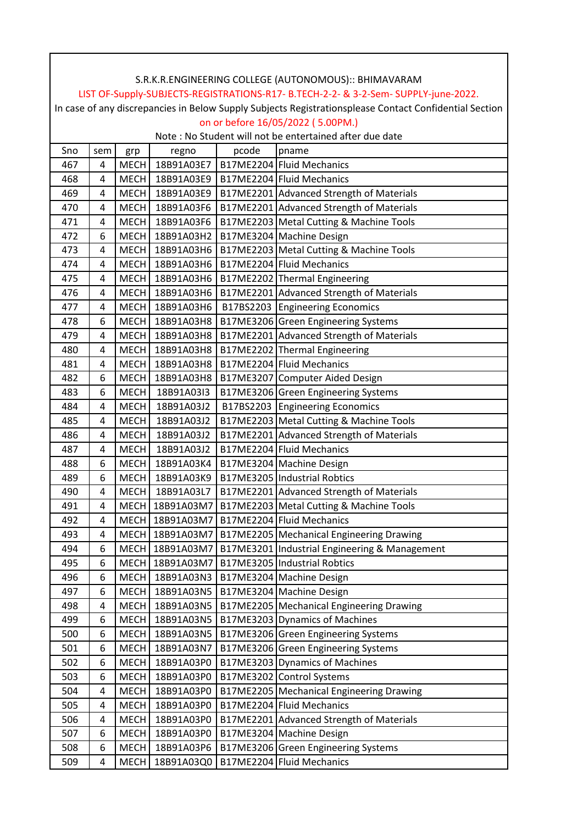|     |                         |             |                 |       | LIST OF-Supply-SUBJECTS-REGISTRATIONS-R17- B.TECH-2-2- & 3-2-Sem- SUPPLY-june-2022.                    |
|-----|-------------------------|-------------|-----------------|-------|--------------------------------------------------------------------------------------------------------|
|     |                         |             |                 |       | In case of any discrepancies in Below Supply Subjects Registrationsplease Contact Confidential Section |
|     |                         |             |                 |       | on or before 16/05/2022 (5.00PM.)                                                                      |
|     |                         |             |                 |       | Note: No Student will not be entertained after due date                                                |
| Sno | sem                     | grp         | regno           | pcode | pname                                                                                                  |
| 467 | 4                       | <b>MECH</b> | 18B91A03E7      |       | B17ME2204 Fluid Mechanics                                                                              |
| 468 | 4                       | <b>MECH</b> | 18B91A03E9      |       | B17ME2204 Fluid Mechanics                                                                              |
| 469 | 4                       | <b>MECH</b> | 18B91A03E9      |       | B17ME2201 Advanced Strength of Materials                                                               |
| 470 | 4                       | <b>MECH</b> | 18B91A03F6      |       | B17ME2201 Advanced Strength of Materials                                                               |
| 471 | 4                       | <b>MECH</b> | 18B91A03F6      |       | B17ME2203 Metal Cutting & Machine Tools                                                                |
| 472 | 6                       | <b>MECH</b> | 18B91A03H2      |       | B17ME3204 Machine Design                                                                               |
| 473 | 4                       |             | MECH 18B91A03H6 |       | B17ME2203 Metal Cutting & Machine Tools                                                                |
| 474 | 4                       |             | MECH 18B91A03H6 |       | B17ME2204 Fluid Mechanics                                                                              |
| 475 | 4                       |             | MECH 18B91A03H6 |       | B17ME2202 Thermal Engineering                                                                          |
| 476 | 4                       |             | MECH 18B91A03H6 |       | B17ME2201 Advanced Strength of Materials                                                               |
| 477 | 4                       | <b>MECH</b> | 18B91A03H6      |       | B17BS2203 Engineering Economics                                                                        |
| 478 | 6                       |             | MECH 18B91A03H8 |       | B17ME3206 Green Engineering Systems                                                                    |
| 479 | 4                       |             | MECH 18B91A03H8 |       | B17ME2201 Advanced Strength of Materials                                                               |
| 480 | 4                       |             | MECH 18B91A03H8 |       | B17ME2202 Thermal Engineering                                                                          |
| 481 | 4                       | <b>MECH</b> | 18B91A03H8      |       | B17ME2204 Fluid Mechanics                                                                              |
| 482 | 6                       | <b>MECH</b> | 18B91A03H8      |       | B17ME3207 Computer Aided Design                                                                        |
| 483 | 6                       | <b>MECH</b> | 18B91A03I3      |       | B17ME3206 Green Engineering Systems                                                                    |
| 484 | 4                       | <b>MECH</b> | 18B91A03J2      |       | B17BS2203 Engineering Economics                                                                        |
| 485 | 4                       | <b>MECH</b> | 18B91A03J2      |       | B17ME2203 Metal Cutting & Machine Tools                                                                |
| 486 | 4                       | <b>MECH</b> | 18B91A03J2      |       | B17ME2201 Advanced Strength of Materials                                                               |
| 487 | 4                       | <b>MECH</b> | 18B91A03J2      |       | B17ME2204 Fluid Mechanics                                                                              |
| 488 | 6                       | <b>MECH</b> | 18B91A03K4      |       | B17ME3204 Machine Design                                                                               |
| 489 | 6                       | <b>MECH</b> | 18B91A03K9      |       | B17ME3205 Industrial Robtics                                                                           |
| 490 | 4                       |             | MECH 18B91A03L7 |       | B17ME2201 Advanced Strength of Materials                                                               |
| 491 | $\overline{\mathbf{4}}$ |             |                 |       | MECH   18B91A03M7   B17ME2203 Metal Cutting & Machine Tools                                            |
| 492 | 4                       |             | MECH 18B91A03M7 |       | B17ME2204 Fluid Mechanics                                                                              |
| 493 | 4                       |             | MECH 18B91A03M7 |       | B17ME2205 Mechanical Engineering Drawing                                                               |
| 494 | 6                       |             | MECH 18B91A03M7 |       | B17ME3201 Industrial Engineering & Management                                                          |
| 495 | 6                       |             | MECH 18B91A03M7 |       | B17ME3205 Industrial Robtics                                                                           |
| 496 | 6                       | <b>MECH</b> | 18B91A03N3      |       | B17ME3204 Machine Design                                                                               |
| 497 | 6                       | <b>MECH</b> | 18B91A03N5      |       | B17ME3204 Machine Design                                                                               |
| 498 | 4                       | <b>MECH</b> | 18B91A03N5      |       | B17ME2205   Mechanical Engineering Drawing                                                             |
| 499 | 6                       | <b>MECH</b> | 18B91A03N5      |       | B17ME3203 Dynamics of Machines                                                                         |
| 500 | 6                       | <b>MECH</b> | 18B91A03N5      |       | B17ME3206 Green Engineering Systems                                                                    |
| 501 | 6                       | <b>MECH</b> | 18B91A03N7      |       | B17ME3206 Green Engineering Systems                                                                    |
| 502 | 6                       | <b>MECH</b> | 18B91A03P0      |       | B17ME3203 Dynamics of Machines                                                                         |
| 503 | 6                       | <b>MECH</b> | 18B91A03P0      |       | B17ME3202 Control Systems                                                                              |
| 504 | 4                       | <b>MECH</b> | 18B91A03P0      |       | B17ME2205 Mechanical Engineering Drawing                                                               |
| 505 | 4                       | <b>MECH</b> | 18B91A03P0      |       | B17ME2204 Fluid Mechanics                                                                              |
| 506 | 4                       | <b>MECH</b> | 18B91A03P0      |       | B17ME2201 Advanced Strength of Materials                                                               |
| 507 | 6                       | <b>MECH</b> | 18B91A03P0      |       | B17ME3204 Machine Design                                                                               |
| 508 | 6                       | <b>MECH</b> | 18B91A03P6      |       | B17ME3206 Green Engineering Systems                                                                    |
| 509 | 4                       | <b>MECH</b> | 18B91A03Q0      |       | B17ME2204 Fluid Mechanics                                                                              |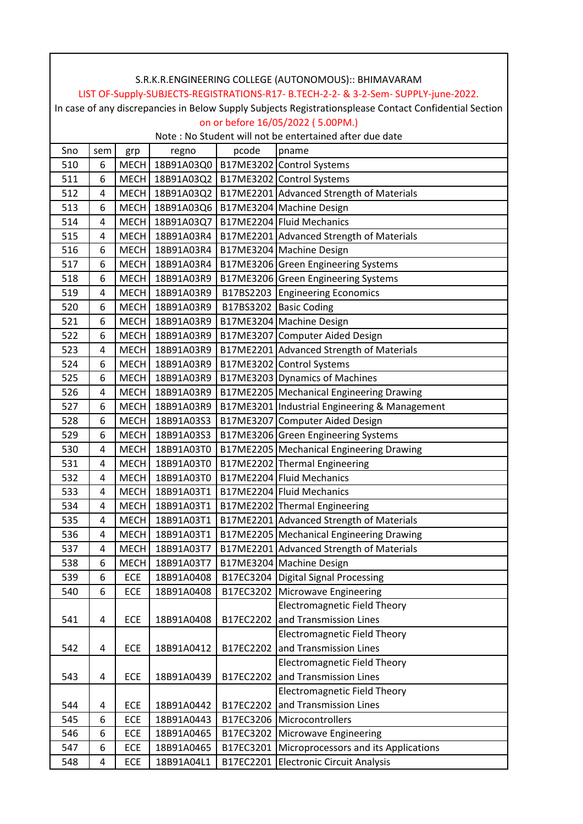| LIST OF-Supply-SUBJECTS-REGISTRATIONS-R17- B.TECH-2-2- & 3-2-Sem- SUPPLY-june-2022.                    |                |             |                 |           |                                                                |  |  |  |
|--------------------------------------------------------------------------------------------------------|----------------|-------------|-----------------|-----------|----------------------------------------------------------------|--|--|--|
| In case of any discrepancies in Below Supply Subjects Registrationsplease Contact Confidential Section |                |             |                 |           |                                                                |  |  |  |
|                                                                                                        |                |             |                 |           | on or before 16/05/2022 (5.00PM.)                              |  |  |  |
| Note: No Student will not be entertained after due date                                                |                |             |                 |           |                                                                |  |  |  |
| Sno                                                                                                    | sem            | grp         | regno           | pcode     | pname                                                          |  |  |  |
| 510                                                                                                    | 6              |             |                 |           | MECH 18B91A03Q0   B17ME3202 Control Systems                    |  |  |  |
| 511                                                                                                    | 6              |             |                 |           | MECH   18B91A03Q2   B17ME3202 Control Systems                  |  |  |  |
| 512                                                                                                    | 4              |             |                 |           | MECH   18B91A03Q2   B17ME2201   Advanced Strength of Materials |  |  |  |
| 513                                                                                                    | 6              |             | MECH 18B91A03Q6 |           | B17ME3204 Machine Design                                       |  |  |  |
| 514                                                                                                    | 4              |             | MECH 18B91A03Q7 |           | B17ME2204 Fluid Mechanics                                      |  |  |  |
| 515                                                                                                    | 4              |             | MECH 18B91A03R4 |           | B17ME2201 Advanced Strength of Materials                       |  |  |  |
| 516                                                                                                    | 6              |             | MECH 18B91A03R4 |           | B17ME3204 Machine Design                                       |  |  |  |
| 517                                                                                                    | 6              |             | MECH 18B91A03R4 |           | B17ME3206 Green Engineering Systems                            |  |  |  |
| 518                                                                                                    | 6              |             | MECH 18B91A03R9 |           | B17ME3206 Green Engineering Systems                            |  |  |  |
| 519                                                                                                    | 4              |             | MECH 18B91A03R9 |           | B17BS2203 Engineering Economics                                |  |  |  |
| 520                                                                                                    | 6              |             | MECH 18B91A03R9 |           | B17BS3202 Basic Coding                                         |  |  |  |
| 521                                                                                                    | 6              |             | MECH 18B91A03R9 |           | B17ME3204 Machine Design                                       |  |  |  |
| 522                                                                                                    | 6              |             | MECH 18B91A03R9 |           | B17ME3207 Computer Aided Design                                |  |  |  |
| 523                                                                                                    | 4              |             | MECH 18B91A03R9 |           | B17ME2201 Advanced Strength of Materials                       |  |  |  |
| 524                                                                                                    | 6              |             | MECH 18B91A03R9 |           | B17ME3202 Control Systems                                      |  |  |  |
| 525                                                                                                    | 6              |             | MECH 18B91A03R9 |           | B17ME3203 Dynamics of Machines                                 |  |  |  |
| 526                                                                                                    | 4              |             | MECH 18B91A03R9 |           | B17ME2205 Mechanical Engineering Drawing                       |  |  |  |
| 527                                                                                                    | 6              | <b>MECH</b> | 18B91A03R9      |           | B17ME3201 Industrial Engineering & Management                  |  |  |  |
| 528                                                                                                    | 6              | <b>MECH</b> | 18B91A03S3      |           | B17ME3207 Computer Aided Design                                |  |  |  |
| 529                                                                                                    | 6              | <b>MECH</b> | 18B91A03S3      |           | B17ME3206 Green Engineering Systems                            |  |  |  |
| 530                                                                                                    | 4              | <b>MECH</b> | 18B91A03T0      |           | B17ME2205 Mechanical Engineering Drawing                       |  |  |  |
| 531                                                                                                    | $\overline{4}$ |             | MECH 18B91A03T0 |           | B17ME2202 Thermal Engineering                                  |  |  |  |
| 532                                                                                                    | 4              |             | MECH 18B91A03T0 |           | B17ME2204 Fluid Mechanics                                      |  |  |  |
| 533                                                                                                    | 4              |             | MECH 18B91A03T1 |           | B17ME2204 Fluid Mechanics                                      |  |  |  |
| 534                                                                                                    | 4              | <b>MECH</b> | 18B91A03T1      |           | B17ME2202 Thermal Engineering                                  |  |  |  |
| 535                                                                                                    | 4              | <b>MECH</b> | 18B91A03T1      |           | B17ME2201 Advanced Strength of Materials                       |  |  |  |
| 536                                                                                                    | 4              | <b>MECH</b> | 18B91A03T1      |           | B17ME2205 Mechanical Engineering Drawing                       |  |  |  |
| 537                                                                                                    | 4              | <b>MECH</b> | 18B91A03T7      |           | B17ME2201 Advanced Strength of Materials                       |  |  |  |
| 538                                                                                                    | 6              | <b>MECH</b> | 18B91A03T7      |           | B17ME3204 Machine Design                                       |  |  |  |
| 539                                                                                                    | 6              | ECE         | 18B91A0408      |           | B17EC3204 Digital Signal Processing                            |  |  |  |
| 540                                                                                                    | 6              | ECE         | 18B91A0408      |           | B17EC3202 Microwave Engineering                                |  |  |  |
|                                                                                                        |                |             |                 |           | <b>Electromagnetic Field Theory</b>                            |  |  |  |
| 541                                                                                                    | 4              | ECE         | 18B91A0408      | B17EC2202 | and Transmission Lines                                         |  |  |  |
|                                                                                                        |                |             |                 |           | <b>Electromagnetic Field Theory</b>                            |  |  |  |
| 542                                                                                                    | 4              | ECE         | 18B91A0412      | B17EC2202 | and Transmission Lines                                         |  |  |  |
|                                                                                                        |                |             |                 |           | <b>Electromagnetic Field Theory</b>                            |  |  |  |
| 543                                                                                                    | 4              | ECE         | 18B91A0439      | B17EC2202 | and Transmission Lines                                         |  |  |  |
|                                                                                                        |                |             |                 |           | <b>Electromagnetic Field Theory</b>                            |  |  |  |
| 544                                                                                                    | 4              | ECE         | 18B91A0442      | B17EC2202 | and Transmission Lines                                         |  |  |  |
| 545                                                                                                    | 6              | ECE         | 18B91A0443      |           | B17EC3206 Microcontrollers                                     |  |  |  |
| 546                                                                                                    | 6              | ECE         | 18B91A0465      |           | B17EC3202 Microwave Engineering                                |  |  |  |
| 547                                                                                                    | 6              | ECE         | 18B91A0465      | B17EC3201 | Microprocessors and its Applications                           |  |  |  |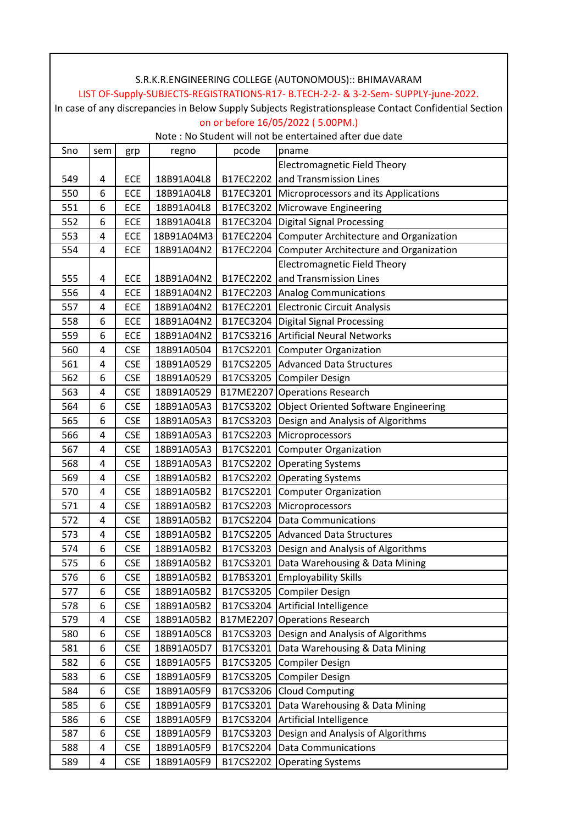|                                                                                                        | S.R.K.R.ENGINEERING COLLEGE (AUTONOMOUS):: BHIMAVARAM |            |            |           |                                                  |  |  |  |
|--------------------------------------------------------------------------------------------------------|-------------------------------------------------------|------------|------------|-----------|--------------------------------------------------|--|--|--|
| LIST OF-Supply-SUBJECTS-REGISTRATIONS-R17- B.TECH-2-2- & 3-2-Sem- SUPPLY-june-2022.                    |                                                       |            |            |           |                                                  |  |  |  |
| In case of any discrepancies in Below Supply Subjects Registrationsplease Contact Confidential Section |                                                       |            |            |           |                                                  |  |  |  |
| on or before 16/05/2022 (5.00PM.)                                                                      |                                                       |            |            |           |                                                  |  |  |  |
| Note: No Student will not be entertained after due date                                                |                                                       |            |            |           |                                                  |  |  |  |
| Sno                                                                                                    | sem                                                   | grp        | regno      | pcode     | pname                                            |  |  |  |
|                                                                                                        |                                                       |            |            |           | <b>Electromagnetic Field Theory</b>              |  |  |  |
| 549                                                                                                    | 4                                                     | ECE        | 18B91A04L8 |           | B17EC2202 and Transmission Lines                 |  |  |  |
| 550                                                                                                    | 6                                                     | ECE        | 18B91A04L8 |           | B17EC3201 Microprocessors and its Applications   |  |  |  |
| 551                                                                                                    | 6                                                     | ECE        | 18B91A04L8 |           | B17EC3202 Microwave Engineering                  |  |  |  |
| 552                                                                                                    | 6                                                     | ECE        | 18B91A04L8 | B17EC3204 | Digital Signal Processing                        |  |  |  |
| 553                                                                                                    | 4                                                     | ECE        | 18B91A04M3 |           | B17EC2204 Computer Architecture and Organization |  |  |  |
| 554                                                                                                    | 4                                                     | ECE        | 18B91A04N2 | B17EC2204 | Computer Architecture and Organization           |  |  |  |
|                                                                                                        |                                                       |            |            |           | <b>Electromagnetic Field Theory</b>              |  |  |  |
| 555                                                                                                    | 4                                                     | ECE        | 18B91A04N2 | B17EC2202 | and Transmission Lines                           |  |  |  |
| 556                                                                                                    | 4                                                     | ECE        | 18B91A04N2 |           | B17EC2203 Analog Communications                  |  |  |  |
| 557                                                                                                    | 4                                                     | ECE        | 18B91A04N2 |           | B17EC2201 Electronic Circuit Analysis            |  |  |  |
| 558                                                                                                    | 6                                                     | ECE        | 18B91A04N2 | B17EC3204 | Digital Signal Processing                        |  |  |  |
| 559                                                                                                    | 6                                                     | ECE        | 18B91A04N2 |           | B17CS3216   Artificial Neural Networks           |  |  |  |
| 560                                                                                                    | 4                                                     | <b>CSE</b> | 18B91A0504 | B17CS2201 | <b>Computer Organization</b>                     |  |  |  |
| 561                                                                                                    | 4                                                     | <b>CSE</b> | 18B91A0529 |           | B17CS2205 Advanced Data Structures               |  |  |  |
| 562                                                                                                    | 6                                                     | <b>CSE</b> | 18B91A0529 |           | B17CS3205 Compiler Design                        |  |  |  |
| 563                                                                                                    | 4                                                     | <b>CSE</b> | 18B91A0529 |           | B17ME2207 Operations Research                    |  |  |  |
| 564                                                                                                    | 6                                                     | <b>CSE</b> | 18B91A05A3 | B17CS3202 | <b>Object Oriented Software Engineering</b>      |  |  |  |
| 565                                                                                                    | 6                                                     | <b>CSE</b> | 18B91A05A3 | B17CS3203 | Design and Analysis of Algorithms                |  |  |  |
| 566                                                                                                    | 4                                                     | <b>CSE</b> | 18B91A05A3 | B17CS2203 | Microprocessors                                  |  |  |  |
| 567                                                                                                    | 4                                                     | <b>CSE</b> | 18B91A05A3 | B17CS2201 | <b>Computer Organization</b>                     |  |  |  |
| 568                                                                                                    | 4                                                     | <b>CSE</b> | 18B91A05A3 | B17CS2202 | <b>Operating Systems</b>                         |  |  |  |
| 569                                                                                                    | 4                                                     | <b>CSE</b> | 18B91A05B2 |           | B17CS2202 Operating Systems                      |  |  |  |
| 570                                                                                                    | 4                                                     | <b>CSE</b> | 18B91A05B2 |           | B17CS2201 Computer Organization                  |  |  |  |
| 571                                                                                                    | 4                                                     | <b>CSE</b> | 18B91A05B2 |           | B17CS2203 Microprocessors                        |  |  |  |
| 572                                                                                                    | 4                                                     | <b>CSE</b> | 18B91A05B2 | B17CS2204 | <b>Data Communications</b>                       |  |  |  |
| 573                                                                                                    | 4                                                     | <b>CSE</b> | 18B91A05B2 |           | B17CS2205 Advanced Data Structures               |  |  |  |
| 574                                                                                                    | 6                                                     | <b>CSE</b> | 18B91A05B2 | B17CS3203 | Design and Analysis of Algorithms                |  |  |  |
| 575                                                                                                    | 6                                                     | <b>CSE</b> | 18B91A05B2 | B17CS3201 | Data Warehousing & Data Mining                   |  |  |  |
| 576                                                                                                    | 6                                                     | <b>CSE</b> | 18B91A05B2 | B17BS3201 | <b>Employability Skills</b>                      |  |  |  |
| 577                                                                                                    | 6                                                     | <b>CSE</b> | 18B91A05B2 | B17CS3205 | <b>Compiler Design</b>                           |  |  |  |
| 578                                                                                                    | 6                                                     | <b>CSE</b> | 18B91A05B2 | B17CS3204 | Artificial Intelligence                          |  |  |  |
| 579                                                                                                    | 4                                                     | <b>CSE</b> | 18B91A05B2 | B17ME2207 | <b>Operations Research</b>                       |  |  |  |
| 580                                                                                                    | 6                                                     | <b>CSE</b> | 18B91A05C8 | B17CS3203 | Design and Analysis of Algorithms                |  |  |  |
| 581                                                                                                    | 6                                                     | <b>CSE</b> | 18B91A05D7 | B17CS3201 | Data Warehousing & Data Mining                   |  |  |  |
| 582                                                                                                    | 6                                                     | <b>CSE</b> | 18B91A05F5 | B17CS3205 | <b>Compiler Design</b>                           |  |  |  |
| 583                                                                                                    | 6                                                     | <b>CSE</b> | 18B91A05F9 | B17CS3205 | <b>Compiler Design</b>                           |  |  |  |
| 584                                                                                                    | 6                                                     | <b>CSE</b> | 18B91A05F9 | B17CS3206 | <b>Cloud Computing</b>                           |  |  |  |
| 585                                                                                                    | 6                                                     | <b>CSE</b> | 18B91A05F9 | B17CS3201 | Data Warehousing & Data Mining                   |  |  |  |
| 586                                                                                                    | 6                                                     | <b>CSE</b> | 18B91A05F9 | B17CS3204 | Artificial Intelligence                          |  |  |  |
| 587                                                                                                    | 6                                                     | <b>CSE</b> | 18B91A05F9 | B17CS3203 | Design and Analysis of Algorithms                |  |  |  |
| 588                                                                                                    | 4                                                     | <b>CSE</b> | 18B91A05F9 | B17CS2204 | <b>Data Communications</b>                       |  |  |  |
| 589                                                                                                    | 4                                                     | <b>CSE</b> | 18B91A05F9 | B17CS2202 | <b>Operating Systems</b>                         |  |  |  |

 $\mathbf l$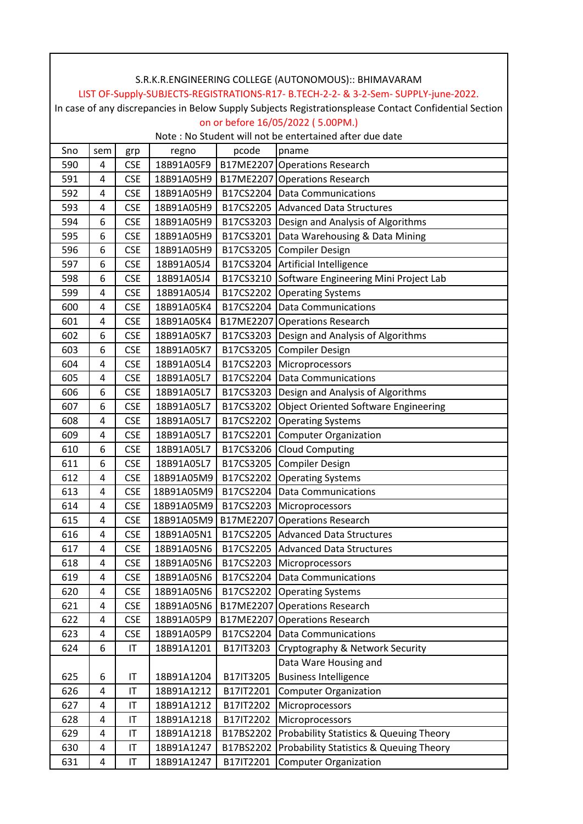|                                                                                                        |     |                        |            |           | LIST OF-Supply-SUBJECTS-REGISTRATIONS-R17- B.TECH-2-2- & 3-2-Sem- SUPPLY-june-2022. |  |  |  |
|--------------------------------------------------------------------------------------------------------|-----|------------------------|------------|-----------|-------------------------------------------------------------------------------------|--|--|--|
| In case of any discrepancies in Below Supply Subjects Registrationsplease Contact Confidential Section |     |                        |            |           |                                                                                     |  |  |  |
| on or before 16/05/2022 (5.00PM.)                                                                      |     |                        |            |           |                                                                                     |  |  |  |
|                                                                                                        |     |                        |            |           | Note: No Student will not be entertained after due date                             |  |  |  |
| Sno                                                                                                    | sem | grp                    | regno      | pcode     | pname                                                                               |  |  |  |
| 590                                                                                                    | 4   | <b>CSE</b>             | 18B91A05F9 |           | B17ME2207 Operations Research                                                       |  |  |  |
| 591                                                                                                    | 4   | <b>CSE</b>             | 18B91A05H9 |           | B17ME2207 Operations Research                                                       |  |  |  |
| 592                                                                                                    | 4   | <b>CSE</b>             | 18B91A05H9 |           | B17CS2204 Data Communications                                                       |  |  |  |
| 593                                                                                                    | 4   | <b>CSE</b>             | 18B91A05H9 |           | B17CS2205 Advanced Data Structures                                                  |  |  |  |
| 594                                                                                                    | 6   | <b>CSE</b>             | 18B91A05H9 |           | B17CS3203 Design and Analysis of Algorithms                                         |  |  |  |
| 595                                                                                                    | 6   | <b>CSE</b>             | 18B91A05H9 |           | B17CS3201 Data Warehousing & Data Mining                                            |  |  |  |
| 596                                                                                                    | 6   | <b>CSE</b>             | 18B91A05H9 |           | B17CS3205 Compiler Design                                                           |  |  |  |
| 597                                                                                                    | 6   | <b>CSE</b>             | 18B91A05J4 |           | B17CS3204 Artificial Intelligence                                                   |  |  |  |
| 598                                                                                                    | 6   | <b>CSE</b>             | 18B91A05J4 |           | B17CS3210 Software Engineering Mini Project Lab                                     |  |  |  |
| 599                                                                                                    | 4   | <b>CSE</b>             | 18B91A05J4 |           | B17CS2202 Operating Systems                                                         |  |  |  |
| 600                                                                                                    | 4   | <b>CSE</b>             | 18B91A05K4 |           | B17CS2204 Data Communications                                                       |  |  |  |
| 601                                                                                                    | 4   | <b>CSE</b>             | 18B91A05K4 |           | B17ME2207 Operations Research                                                       |  |  |  |
| 602                                                                                                    | 6   | <b>CSE</b>             | 18B91A05K7 |           | B17CS3203 Design and Analysis of Algorithms                                         |  |  |  |
| 603                                                                                                    | 6   | <b>CSE</b>             | 18B91A05K7 |           | B17CS3205 Compiler Design                                                           |  |  |  |
| 604                                                                                                    | 4   | <b>CSE</b>             | 18B91A05L4 |           | B17CS2203 Microprocessors                                                           |  |  |  |
| 605                                                                                                    | 4   | <b>CSE</b>             | 18B91A05L7 |           | B17CS2204 Data Communications                                                       |  |  |  |
| 606                                                                                                    | 6   | <b>CSE</b>             | 18B91A05L7 |           | B17CS3203 Design and Analysis of Algorithms                                         |  |  |  |
| 607                                                                                                    | 6   | <b>CSE</b>             | 18B91A05L7 |           | B17CS3202 Object Oriented Software Engineering                                      |  |  |  |
| 608                                                                                                    | 4   | <b>CSE</b>             | 18B91A05L7 |           | B17CS2202 Operating Systems                                                         |  |  |  |
| 609                                                                                                    | 4   | <b>CSE</b>             | 18B91A05L7 |           | B17CS2201 Computer Organization                                                     |  |  |  |
| 610                                                                                                    | 6   | <b>CSE</b>             | 18B91A05L7 |           | B17CS3206 Cloud Computing                                                           |  |  |  |
| 611                                                                                                    | 6   | <b>CSE</b>             | 18B91A05L7 |           | B17CS3205 Compiler Design                                                           |  |  |  |
| 612                                                                                                    | 4   | <b>CSE</b>             | 18B91A05M9 |           | B17CS2202 Operating Systems                                                         |  |  |  |
| 613                                                                                                    | 4   | <b>CSE</b>             | 18B91A05M9 |           | B17CS2204 Data Communications                                                       |  |  |  |
| 614                                                                                                    | 4   | <b>CSE</b>             | 18B91A05M9 |           | B17CS2203 Microprocessors                                                           |  |  |  |
| 615                                                                                                    | 4   | <b>CSE</b>             | 18B91A05M9 |           | B17ME2207 Operations Research                                                       |  |  |  |
| 616                                                                                                    | 4   | <b>CSE</b>             | 18B91A05N1 |           | B17CS2205 Advanced Data Structures                                                  |  |  |  |
| 617                                                                                                    | 4   | <b>CSE</b>             | 18B91A05N6 |           | B17CS2205 Advanced Data Structures                                                  |  |  |  |
| 618                                                                                                    | 4   | <b>CSE</b>             | 18B91A05N6 |           | B17CS2203 Microprocessors                                                           |  |  |  |
| 619                                                                                                    | 4   | <b>CSE</b>             | 18B91A05N6 |           | B17CS2204 Data Communications                                                       |  |  |  |
| 620                                                                                                    | 4   | <b>CSE</b>             | 18B91A05N6 |           | B17CS2202 Operating Systems                                                         |  |  |  |
| 621                                                                                                    | 4   | <b>CSE</b>             | 18B91A05N6 |           | B17ME2207 Operations Research                                                       |  |  |  |
| 622                                                                                                    | 4   | <b>CSE</b>             | 18B91A05P9 |           | B17ME2207 Operations Research                                                       |  |  |  |
| 623                                                                                                    | 4   | <b>CSE</b>             | 18B91A05P9 |           | B17CS2204 Data Communications                                                       |  |  |  |
| 624                                                                                                    | 6   | IT                     | 18B91A1201 | B17IT3203 | Cryptography & Network Security                                                     |  |  |  |
|                                                                                                        |     |                        |            |           | Data Ware Housing and                                                               |  |  |  |
| 625                                                                                                    | 6   | $\mathsf{I}\mathsf{T}$ | 18B91A1204 | B17IT3205 | <b>Business Intelligence</b>                                                        |  |  |  |
| 626                                                                                                    | 4   | IT                     | 18B91A1212 | B17IT2201 | <b>Computer Organization</b>                                                        |  |  |  |
| 627                                                                                                    | 4   | IT                     | 18B91A1212 | B17IT2202 | Microprocessors                                                                     |  |  |  |
| 628                                                                                                    | 4   | IT                     | 18B91A1218 | B17IT2202 | Microprocessors                                                                     |  |  |  |
| 629                                                                                                    | 4   | IT                     | 18B91A1218 |           | B17BS2202 Probability Statistics & Queuing Theory                                   |  |  |  |
| 630                                                                                                    | 4   | IT                     | 18B91A1247 | B17BS2202 | Probability Statistics & Queuing Theory                                             |  |  |  |
| 631                                                                                                    | 4   | $\mathsf{I}\mathsf{T}$ | 18B91A1247 | B17IT2201 | <b>Computer Organization</b>                                                        |  |  |  |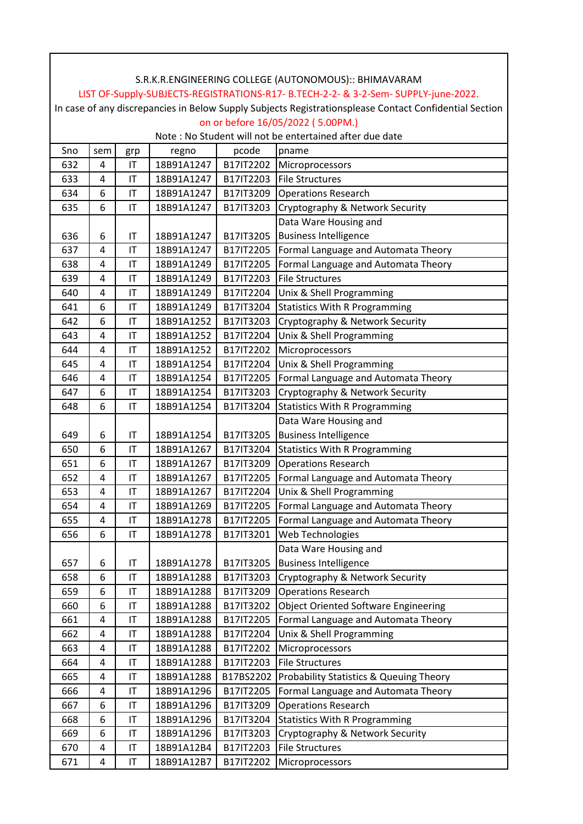| S.R.K.R.ENGINEERING COLLEGE (AUTONOMOUS):: BHIMAVARAM                                                                                       |                |                              |                          |           |                                                               |  |  |  |
|---------------------------------------------------------------------------------------------------------------------------------------------|----------------|------------------------------|--------------------------|-----------|---------------------------------------------------------------|--|--|--|
| LIST OF-Supply-SUBJECTS-REGISTRATIONS-R17- B.TECH-2-2- & 3-2-Sem- SUPPLY-june-2022.                                                         |                |                              |                          |           |                                                               |  |  |  |
| In case of any discrepancies in Below Supply Subjects Registrationsplease Contact Confidential Section<br>on or before 16/05/2022 (5.00PM.) |                |                              |                          |           |                                                               |  |  |  |
| Note : No Student will not be entertained after due date                                                                                    |                |                              |                          |           |                                                               |  |  |  |
| Sno                                                                                                                                         | sem            |                              | regno                    | pcode     | pname                                                         |  |  |  |
| 632                                                                                                                                         | 4              | grp<br>IT                    | 18B91A1247               | B17IT2202 | Microprocessors                                               |  |  |  |
| 633                                                                                                                                         | 4              | $\mathsf{I}\mathsf{T}$       | 18B91A1247               | B17IT2203 | File Structures                                               |  |  |  |
| 634                                                                                                                                         | 6              | IT                           | 18B91A1247               | B17IT3209 | <b>Operations Research</b>                                    |  |  |  |
| 635                                                                                                                                         | 6              | IT                           | 18B91A1247               | B17IT3203 | Cryptography & Network Security                               |  |  |  |
|                                                                                                                                             |                |                              |                          |           | Data Ware Housing and                                         |  |  |  |
|                                                                                                                                             | 6              |                              |                          | B17IT3205 | <b>Business Intelligence</b>                                  |  |  |  |
| 636<br>637                                                                                                                                  | 4              | IT<br>$\mathsf{I}\mathsf{T}$ | 18B91A1247<br>18B91A1247 | B17IT2205 |                                                               |  |  |  |
|                                                                                                                                             | 4              |                              |                          |           | Formal Language and Automata Theory                           |  |  |  |
| 638                                                                                                                                         |                | IT                           | 18B91A1249               | B17IT2205 | Formal Language and Automata Theory<br><b>File Structures</b> |  |  |  |
| 639                                                                                                                                         | 4              | IT                           | 18B91A1249               | B17IT2203 |                                                               |  |  |  |
| 640                                                                                                                                         | $\overline{4}$ | IT                           | 18B91A1249               | B17IT2204 | Unix & Shell Programming                                      |  |  |  |
| 641                                                                                                                                         | 6              | IT                           | 18B91A1249               | B17IT3204 | <b>Statistics With R Programming</b>                          |  |  |  |
| 642                                                                                                                                         | 6              | IT                           | 18B91A1252               | B17IT3203 | Cryptography & Network Security                               |  |  |  |
| 643                                                                                                                                         | 4              | IT                           | 18B91A1252               | B17IT2204 | Unix & Shell Programming                                      |  |  |  |
| 644                                                                                                                                         | 4              | IT                           | 18B91A1252               | B17IT2202 | Microprocessors                                               |  |  |  |
| 645                                                                                                                                         | 4              | IT                           | 18B91A1254               | B17IT2204 | Unix & Shell Programming                                      |  |  |  |
| 646                                                                                                                                         | 4              | IT                           | 18B91A1254               | B17IT2205 | Formal Language and Automata Theory                           |  |  |  |
| 647                                                                                                                                         | 6              | IT                           | 18B91A1254               | B17IT3203 | Cryptography & Network Security                               |  |  |  |
| 648                                                                                                                                         | 6              | ΙT                           | 18B91A1254               | B17IT3204 | <b>Statistics With R Programming</b>                          |  |  |  |
|                                                                                                                                             |                |                              |                          |           | Data Ware Housing and                                         |  |  |  |
| 649                                                                                                                                         | 6              | IT                           | 18B91A1254               | B17IT3205 | <b>Business Intelligence</b>                                  |  |  |  |
| 650                                                                                                                                         | 6              | IT                           | 18B91A1267               | B17IT3204 | <b>Statistics With R Programming</b>                          |  |  |  |
| 651                                                                                                                                         | 6              | IT                           | 18B91A1267               | B17IT3209 | <b>Operations Research</b>                                    |  |  |  |
| 652                                                                                                                                         | 4              | IT                           | 18B91A1267               | B17IT2205 | Formal Language and Automata Theory                           |  |  |  |
| 653                                                                                                                                         | 4              | IT                           | 18B91A1267               | B17IT2204 | Unix & Shell Programming                                      |  |  |  |
| 654                                                                                                                                         | 4              | IT                           | 18B91A1269               | B17IT2205 | Formal Language and Automata Theory                           |  |  |  |
| 655                                                                                                                                         | 4              | $\mathsf{I}\mathsf{T}$       | 18B91A1278               | B17IT2205 | Formal Language and Automata Theory                           |  |  |  |
| 656                                                                                                                                         | 6              | IT                           | 18B91A1278               | B17IT3201 | Web Technologies                                              |  |  |  |
|                                                                                                                                             |                |                              |                          |           | Data Ware Housing and                                         |  |  |  |
| 657                                                                                                                                         | 6              | IT                           | 18B91A1278               | B17IT3205 | <b>Business Intelligence</b>                                  |  |  |  |
| 658                                                                                                                                         | 6              | IT                           | 18B91A1288               | B17IT3203 | Cryptography & Network Security                               |  |  |  |
| 659                                                                                                                                         | 6              | IT                           | 18B91A1288               | B17IT3209 | <b>Operations Research</b>                                    |  |  |  |
| 660                                                                                                                                         | 6              | IT                           | 18B91A1288               | B17IT3202 | <b>Object Oriented Software Engineering</b>                   |  |  |  |
| 661                                                                                                                                         | 4              | IT                           | 18B91A1288               | B17IT2205 | Formal Language and Automata Theory                           |  |  |  |
| 662                                                                                                                                         | 4              | IT                           | 18B91A1288               | B17IT2204 | Unix & Shell Programming                                      |  |  |  |
| 663                                                                                                                                         | 4              | IT                           | 18B91A1288               | B17IT2202 | Microprocessors                                               |  |  |  |
| 664                                                                                                                                         | 4              | IT                           | 18B91A1288               | B17IT2203 | <b>File Structures</b>                                        |  |  |  |
| 665                                                                                                                                         | 4              | IT                           | 18B91A1288               | B17BS2202 | Probability Statistics & Queuing Theory                       |  |  |  |
| 666                                                                                                                                         | 4              | IT                           | 18B91A1296               | B17IT2205 | Formal Language and Automata Theory                           |  |  |  |
| 667                                                                                                                                         | 6              | IT                           | 18B91A1296               | B17IT3209 | <b>Operations Research</b>                                    |  |  |  |
| 668                                                                                                                                         | 6              | $\mathsf{I}\mathsf{T}$       | 18B91A1296               | B17IT3204 | <b>Statistics With R Programming</b>                          |  |  |  |
| 669                                                                                                                                         | 6              | IT                           | 18B91A1296               | B17IT3203 | Cryptography & Network Security                               |  |  |  |
| 670                                                                                                                                         | 4              | IT                           | 18B91A12B4               | B17IT2203 | <b>File Structures</b>                                        |  |  |  |
| 671                                                                                                                                         | 4              | IT                           | 18B91A12B7               | B17IT2202 | Microprocessors                                               |  |  |  |

ヿ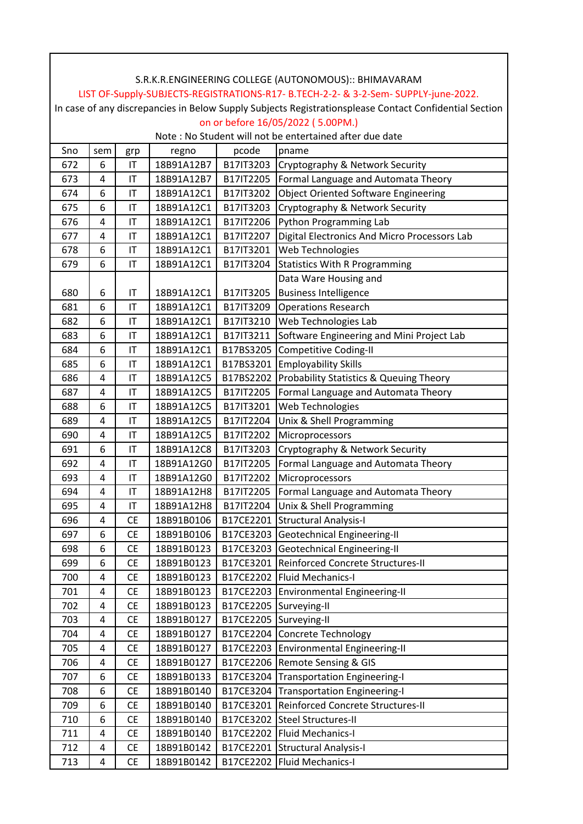| LIST OF-Supply-SUBJECTS-REGISTRATIONS-R17- B.TECH-2-2- & 3-2-Sem- SUPPLY-june-2022.<br>In case of any discrepancies in Below Supply Subjects Registrationsplease Contact Confidential Section |          |                        |                          |           |                                                   |  |  |  |
|-----------------------------------------------------------------------------------------------------------------------------------------------------------------------------------------------|----------|------------------------|--------------------------|-----------|---------------------------------------------------|--|--|--|
| on or before 16/05/2022 (5.00PM.)                                                                                                                                                             |          |                        |                          |           |                                                   |  |  |  |
| Note: No Student will not be entertained after due date                                                                                                                                       |          |                        |                          |           |                                                   |  |  |  |
| Sno                                                                                                                                                                                           |          |                        |                          | pcode     | pname                                             |  |  |  |
| 672                                                                                                                                                                                           | sem<br>6 | grp<br>IT              | regno<br>18B91A12B7      |           | B17IT3203 Cryptography & Network Security         |  |  |  |
| 673                                                                                                                                                                                           | 4        | IT                     | 18B91A12B7               |           | B17IT2205   Formal Language and Automata Theory   |  |  |  |
|                                                                                                                                                                                               | 6        | IT                     | 18B91A12C1               |           | B17IT3202 Object Oriented Software Engineering    |  |  |  |
| 674                                                                                                                                                                                           | 6        |                        |                          |           |                                                   |  |  |  |
| 675                                                                                                                                                                                           |          | IT                     | 18B91A12C1<br>18B91A12C1 |           | B17IT3203 Cryptography & Network Security         |  |  |  |
| 676                                                                                                                                                                                           | 4<br>4   | $\mathsf{I}\mathsf{T}$ |                          | B17IT2206 | Python Programming Lab                            |  |  |  |
| 677                                                                                                                                                                                           |          | IT                     | 18B91A12C1               | B17IT2207 | Digital Electronics And Micro Processors Lab      |  |  |  |
| 678                                                                                                                                                                                           | 6        | IT                     | 18B91A12C1               | B17IT3201 | Web Technologies                                  |  |  |  |
| 679                                                                                                                                                                                           | 6        | IT                     | 18B91A12C1               | B17IT3204 | <b>Statistics With R Programming</b>              |  |  |  |
|                                                                                                                                                                                               |          |                        |                          |           | Data Ware Housing and                             |  |  |  |
| 680                                                                                                                                                                                           | 6        | $\mathsf{I}\mathsf{T}$ | 18B91A12C1               | B17IT3205 | <b>Business Intelligence</b>                      |  |  |  |
| 681                                                                                                                                                                                           | 6        | IT                     | 18B91A12C1               | B17IT3209 | <b>Operations Research</b>                        |  |  |  |
| 682                                                                                                                                                                                           | 6        | $\mathsf{I}\mathsf{T}$ | 18B91A12C1               | B17IT3210 | <b>Web Technologies Lab</b>                       |  |  |  |
| 683                                                                                                                                                                                           | 6        | IT                     | 18B91A12C1               | B17IT3211 | Software Engineering and Mini Project Lab         |  |  |  |
| 684                                                                                                                                                                                           | 6        | IT                     | 18B91A12C1               |           | B17BS3205 Competitive Coding-II                   |  |  |  |
| 685                                                                                                                                                                                           | 6        | IT                     | 18B91A12C1               |           | B17BS3201 Employability Skills                    |  |  |  |
| 686                                                                                                                                                                                           | 4        | IT                     | 18B91A12C5               |           | B17BS2202 Probability Statistics & Queuing Theory |  |  |  |
| 687                                                                                                                                                                                           | 4        | IT                     | 18B91A12C5               | B17IT2205 | Formal Language and Automata Theory               |  |  |  |
| 688                                                                                                                                                                                           | 6        | IT                     | 18B91A12C5               | B17IT3201 | Web Technologies                                  |  |  |  |
| 689                                                                                                                                                                                           | 4        | IT                     | 18B91A12C5               | B17IT2204 | Unix & Shell Programming                          |  |  |  |
| 690                                                                                                                                                                                           | 4        | IT                     | 18B91A12C5               | B17IT2202 | Microprocessors                                   |  |  |  |
| 691                                                                                                                                                                                           | 6        | IT                     | 18B91A12C8               | B17IT3203 | Cryptography & Network Security                   |  |  |  |
| 692                                                                                                                                                                                           | 4        | IT                     | 18B91A12G0               | B17IT2205 | Formal Language and Automata Theory               |  |  |  |
| 693                                                                                                                                                                                           | 4        | IT                     | 18B91A12G0               | B17IT2202 | Microprocessors                                   |  |  |  |
| 694                                                                                                                                                                                           | 4        | $\mathsf{I}\mathsf{T}$ | 18B91A12H8               |           | B17IT2205   Formal Language and Automata Theory   |  |  |  |
| 695                                                                                                                                                                                           | 4        | $\sf IT$               | 18B91A12H8               |           | B17IT2204 Unix & Shell Programming                |  |  |  |
| 696                                                                                                                                                                                           | 4        | <b>CE</b>              | 18B91B0106               |           | B17CE2201 Structural Analysis-I                   |  |  |  |
| 697                                                                                                                                                                                           | 6        | <b>CE</b>              | 18B91B0106               |           | B17CE3203 Geotechnical Engineering-II             |  |  |  |
| 698                                                                                                                                                                                           | 6        | <b>CE</b>              | 18B91B0123               |           | B17CE3203 Geotechnical Engineering-II             |  |  |  |
| 699                                                                                                                                                                                           | 6        | <b>CE</b>              | 18B91B0123               |           | B17CE3201 Reinforced Concrete Structures-II       |  |  |  |
| 700                                                                                                                                                                                           | 4        | <b>CE</b>              | 18B91B0123               |           | B17CE2202   Fluid Mechanics-I                     |  |  |  |
| 701                                                                                                                                                                                           | 4        | <b>CE</b>              | 18B91B0123               |           | B17CE2203 Environmental Engineering-II            |  |  |  |
| 702                                                                                                                                                                                           | 4        | <b>CE</b>              | 18B91B0123               |           | B17CE2205 Surveying-II                            |  |  |  |
| 703                                                                                                                                                                                           | 4        | <b>CE</b>              | 18B91B0127               |           | B17CE2205 Surveying-II                            |  |  |  |
| 704                                                                                                                                                                                           | 4        | <b>CE</b>              | 18B91B0127               |           | B17CE2204 Concrete Technology                     |  |  |  |
| 705                                                                                                                                                                                           | 4        | <b>CE</b>              | 18B91B0127               | B17CE2203 | <b>Environmental Engineering-II</b>               |  |  |  |
| 706                                                                                                                                                                                           | 4        | <b>CE</b>              | 18B91B0127               |           | B17CE2206 Remote Sensing & GIS                    |  |  |  |
| 707                                                                                                                                                                                           | 6        | <b>CE</b>              | 18B91B0133               | B17CE3204 | <b>Transportation Engineering-I</b>               |  |  |  |
| 708                                                                                                                                                                                           | 6        | <b>CE</b>              | 18B91B0140               | B17CE3204 | <b>Transportation Engineering-I</b>               |  |  |  |
| 709                                                                                                                                                                                           | 6        | <b>CE</b>              | 18B91B0140               | B17CE3201 | Reinforced Concrete Structures-II                 |  |  |  |
| 710                                                                                                                                                                                           | 6        | <b>CE</b>              | 18B91B0140               | B17CE3202 | Steel Structures-II                               |  |  |  |
| 711                                                                                                                                                                                           | 4        | <b>CE</b>              | 18B91B0140               |           | B17CE2202 Fluid Mechanics-I                       |  |  |  |
| 712                                                                                                                                                                                           | 4        | <b>CE</b>              | 18B91B0142               | B17CE2201 | Structural Analysis-I                             |  |  |  |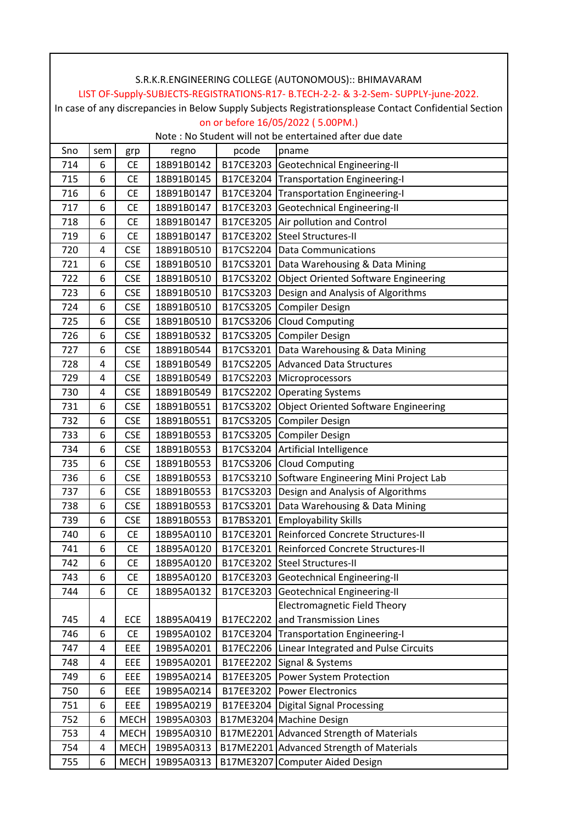|                                                                                                        | S.R.K.R.ENGINEERING COLLEGE (AUTONOMOUS):: BHIMAVARAM   |             |            |           |                                             |  |  |  |
|--------------------------------------------------------------------------------------------------------|---------------------------------------------------------|-------------|------------|-----------|---------------------------------------------|--|--|--|
| LIST OF-Supply-SUBJECTS-REGISTRATIONS-R17- B.TECH-2-2- & 3-2-Sem- SUPPLY-june-2022.                    |                                                         |             |            |           |                                             |  |  |  |
| In case of any discrepancies in Below Supply Subjects Registrationsplease Contact Confidential Section |                                                         |             |            |           |                                             |  |  |  |
| on or before 16/05/2022 (5.00PM.)                                                                      |                                                         |             |            |           |                                             |  |  |  |
|                                                                                                        | Note: No Student will not be entertained after due date |             |            |           |                                             |  |  |  |
| Sno                                                                                                    | sem                                                     | grp         | regno      | pcode     | pname                                       |  |  |  |
| 714                                                                                                    | 6                                                       | <b>CE</b>   | 18B91B0142 |           | B17CE3203 Geotechnical Engineering-II       |  |  |  |
| 715                                                                                                    | 6                                                       | <b>CE</b>   | 18B91B0145 |           | B17CE3204 Transportation Engineering-I      |  |  |  |
| 716                                                                                                    | 6                                                       | <b>CE</b>   | 18B91B0147 |           | B17CE3204 Transportation Engineering-I      |  |  |  |
| 717                                                                                                    | 6                                                       | <b>CE</b>   | 18B91B0147 | B17CE3203 | Geotechnical Engineering-II                 |  |  |  |
| 718                                                                                                    | 6                                                       | <b>CE</b>   | 18B91B0147 |           | B17CE3205 Air pollution and Control         |  |  |  |
| 719                                                                                                    | 6                                                       | <b>CE</b>   | 18B91B0147 |           | B17CE3202 Steel Structures-II               |  |  |  |
| 720                                                                                                    | 4                                                       | <b>CSE</b>  | 18B91B0510 | B17CS2204 | <b>Data Communications</b>                  |  |  |  |
| 721                                                                                                    | 6                                                       | <b>CSE</b>  | 18B91B0510 |           | B17CS3201   Data Warehousing & Data Mining  |  |  |  |
| 722                                                                                                    | 6                                                       | <b>CSE</b>  | 18B91B0510 | B17CS3202 | <b>Object Oriented Software Engineering</b> |  |  |  |
| 723                                                                                                    | 6                                                       | <b>CSE</b>  | 18B91B0510 | B17CS3203 | Design and Analysis of Algorithms           |  |  |  |
| 724                                                                                                    | 6                                                       | <b>CSE</b>  | 18B91B0510 | B17CS3205 | <b>Compiler Design</b>                      |  |  |  |
| 725                                                                                                    | 6                                                       | <b>CSE</b>  | 18B91B0510 | B17CS3206 | <b>Cloud Computing</b>                      |  |  |  |
| 726                                                                                                    | 6                                                       | <b>CSE</b>  | 18B91B0532 | B17CS3205 | <b>Compiler Design</b>                      |  |  |  |
| 727                                                                                                    | 6                                                       | <b>CSE</b>  | 18B91B0544 | B17CS3201 | Data Warehousing & Data Mining              |  |  |  |
| 728                                                                                                    | 4                                                       | <b>CSE</b>  | 18B91B0549 | B17CS2205 | <b>Advanced Data Structures</b>             |  |  |  |
| 729                                                                                                    | 4                                                       | <b>CSE</b>  | 18B91B0549 | B17CS2203 | Microprocessors                             |  |  |  |
| 730                                                                                                    | 4                                                       | <b>CSE</b>  | 18B91B0549 | B17CS2202 | <b>Operating Systems</b>                    |  |  |  |
| 731                                                                                                    | 6                                                       | <b>CSE</b>  | 18B91B0551 | B17CS3202 | <b>Object Oriented Software Engineering</b> |  |  |  |
| 732                                                                                                    | 6                                                       | <b>CSE</b>  | 18B91B0551 | B17CS3205 | <b>Compiler Design</b>                      |  |  |  |
| 733                                                                                                    | 6                                                       | <b>CSE</b>  | 18B91B0553 | B17CS3205 | <b>Compiler Design</b>                      |  |  |  |
| 734                                                                                                    | 6                                                       | <b>CSE</b>  | 18B91B0553 | B17CS3204 | Artificial Intelligence                     |  |  |  |
| 735                                                                                                    | 6                                                       | <b>CSE</b>  | 18B91B0553 | B17CS3206 | <b>Cloud Computing</b>                      |  |  |  |
| 736                                                                                                    | 6                                                       | <b>CSE</b>  | 18B91B0553 | B17CS3210 | Software Engineering Mini Project Lab       |  |  |  |
| 737                                                                                                    | 6                                                       | <b>CSE</b>  | 18B91B0553 |           | B17CS3203 Design and Analysis of Algorithms |  |  |  |
| 738                                                                                                    | 6                                                       | <b>CSE</b>  | 18B91B0553 |           | B17CS3201 Data Warehousing & Data Mining    |  |  |  |
| 739                                                                                                    | 6                                                       | <b>CSE</b>  | 18B91B0553 |           | B17BS3201 Employability Skills              |  |  |  |
| 740                                                                                                    | 6                                                       | <b>CE</b>   | 18B95A0110 |           | B17CE3201 Reinforced Concrete Structures-II |  |  |  |
| 741                                                                                                    | 6                                                       | <b>CE</b>   | 18B95A0120 | B17CE3201 | Reinforced Concrete Structures-II           |  |  |  |
| 742                                                                                                    | 6                                                       | <b>CE</b>   | 18B95A0120 | B17CE3202 | Steel Structures-II                         |  |  |  |
| 743                                                                                                    | 6                                                       | CE          | 18B95A0120 | B17CE3203 | Geotechnical Engineering-II                 |  |  |  |
| 744                                                                                                    | 6                                                       | <b>CE</b>   | 18B95A0132 | B17CE3203 | Geotechnical Engineering-II                 |  |  |  |
|                                                                                                        |                                                         |             |            |           | <b>Electromagnetic Field Theory</b>         |  |  |  |
| 745                                                                                                    | 4                                                       | ECE         | 18B95A0419 | B17EC2202 | and Transmission Lines                      |  |  |  |
| 746                                                                                                    | 6                                                       | <b>CE</b>   | 19B95A0102 |           | B17CE3204 Transportation Engineering-I      |  |  |  |
| 747                                                                                                    | 4                                                       | EEE         | 19B95A0201 | B17EC2206 | Linear Integrated and Pulse Circuits        |  |  |  |
| 748                                                                                                    | 4                                                       | EEE         | 19B95A0201 |           | B17EE2202 Signal & Systems                  |  |  |  |
| 749                                                                                                    | 6                                                       | EEE         | 19B95A0214 |           | B17EE3205 Power System Protection           |  |  |  |
| 750                                                                                                    | 6                                                       | EEE         | 19B95A0214 |           | B17EE3202 Power Electronics                 |  |  |  |
| 751                                                                                                    | 6                                                       | EEE         | 19B95A0219 | B17EE3204 | <b>Digital Signal Processing</b>            |  |  |  |
| 752                                                                                                    | 6                                                       | <b>MECH</b> | 19B95A0303 |           | B17ME3204 Machine Design                    |  |  |  |
| 753                                                                                                    | 4                                                       | <b>MECH</b> | 19B95A0310 |           | B17ME2201 Advanced Strength of Materials    |  |  |  |
| 754                                                                                                    | 4                                                       | <b>MECH</b> | 19B95A0313 |           | B17ME2201 Advanced Strength of Materials    |  |  |  |
| 755                                                                                                    | 6                                                       | <b>MECH</b> | 19B95A0313 |           | B17ME3207 Computer Aided Design             |  |  |  |

 $\overline{\phantom{a}}$